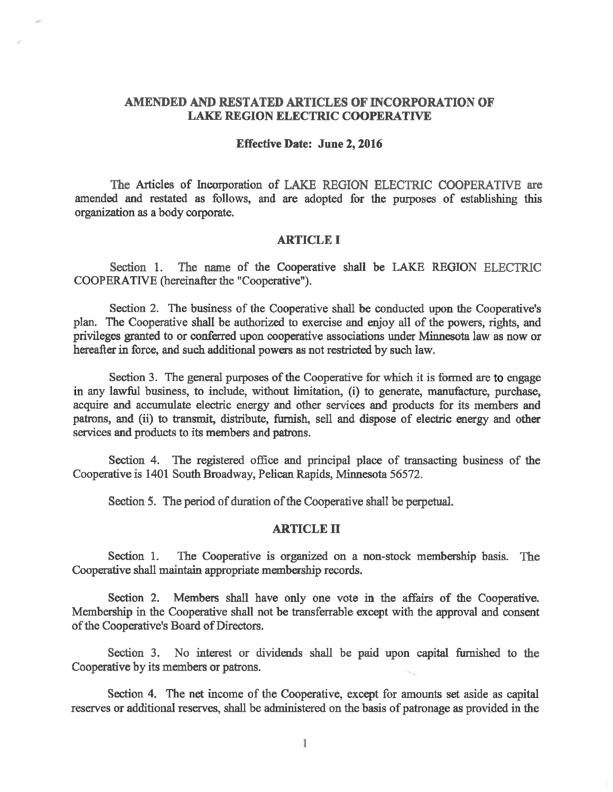## AMENDED AND RESTATED ARTICLES OF INCORPORATION OF **LAKE REGION ELECTRIC COOPERATIVE**

### **Effective Date: June 2, 2016**

The Articles of Incorporation of LAKE REGION ELECTRIC COOPERATIVE are amended and restated as follows, and are adopted for the purposes of establishing this organization as a body corporate.

#### **ARTICLE I**

Section 1. The name of the Cooperative shall be LAKE REGION ELECTRIC COOPERATIVE (hereinafter the "Cooperative").

Section 2. The business of the Cooperative shall be conducted upon the Cooperative's plan. The Cooperative shall be authorized to exercise and enjoy all of the powers, rights, and privileges granted to or conferred upon cooperative associations under Minnesota law as now or hereafter in force, and such additional powers as not restricted by such law.

Section 3. The general purposes of the Cooperative for which it is formed are to engage in any lawful business, to include, without limitation, (i) to generate, manufacture, purchase, acquire and accumulate electric energy and other services and products for its members and patrons, and (ii) to transmit, distribute, furnish, sell and dispose of electric energy and other services and products to its members and patrons.

Section 4. The registered office and principal place of transacting business of the Cooperative is 1401 South Broadway, Pelican Rapids, Minnesota 56572.

Section 5. The period of duration of the Cooperative shall be perpetual.

## **ARTICLE II**

Section 1. The Cooperative is organized on a non-stock membership basis. The Cooperative shall maintain appropriate membership records.

Section 2. Members shall have only one vote in the affairs of the Cooperative. Membership in the Cooperative shall not be transferrable except with the approval and consent of the Cooperative's Board of Directors.

Section 3. No interest or dividends shall be paid upon capital furnished to the Cooperative by its members or patrons.

Section 4. The net income of the Cooperative, except for amounts set aside as capital reserves or additional reserves, shall be administered on the basis of patronage as provided in the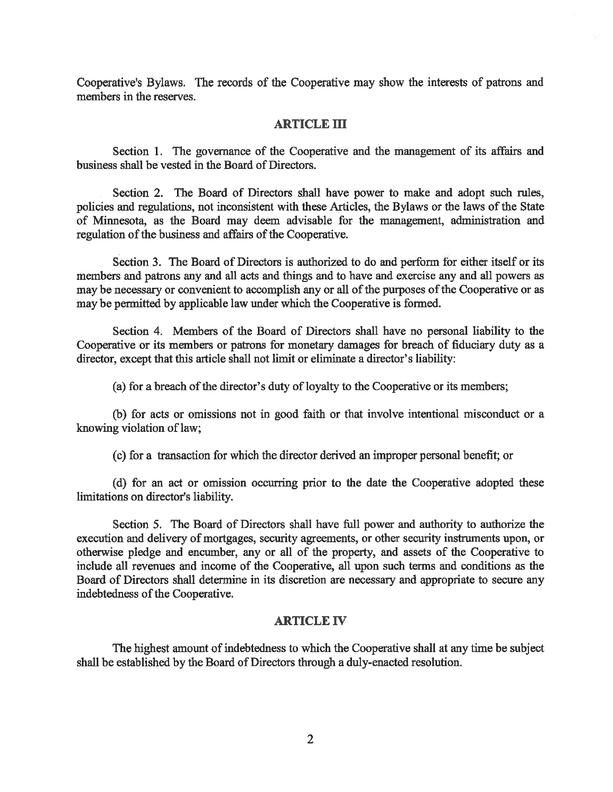Cooperative's Bylaws. The records of the Cooperative may show the interests of patrons and members in the reserves.

## **ARTICLE III**

Section 1. The governance of the Cooperative and the management of its affairs and business shall be vested in the Board of Directors.

Section 2. The Board of Directors shall have power to make and adopt such rules, policies and regulations, not inconsistent with these Articles, the Bylaws or the laws of the State of Minnesota, as the Board may deem advisable for the management, administration and regulation of the business and affairs of the Cooperative.

Section 3. The Board of Directors is authorized to do and perform for either itself or its members and patrons any and all acts and things and to have and exercise any and all powers as may be necessary or convenient to accomplish any or all of the purposes of the Cooperative or as may be permitted by applicable law under which the Cooperative is formed.

Section 4. Members of the Board of Directors shall have no personal liability to the Cooperative or its members or patrons for monetary damages for breach of fiduciary duty as a director, except that this article shall not limit or eliminate a director's liability:

(a) for a breach of the director's duty of loyalty to the Cooperative or its members;

(b) for acts or omissions not in good faith or that involve intentional misconduct or a knowing violation of law;

(c) for a transaction for which the director derived an improper personal benefit; or

(d) for an act or omission occurring prior to the date the Cooperative adopted these limitations on director's liability.

Section 5. The Board of Directors shall have full power and authority to authorize the execution and delivery of mortgages, security agreements, or other security instruments upon, or otherwise pledge and encumber, any or all of the property, and assets of the Cooperative to include all revenues and income of the Cooperative, all upon such terms and conditions as the Board of Directors shall determine in its discretion are necessary and appropriate to secure any indebtedness of the Cooperative.

#### **ARTICLE IV**

The highest amount of indebtedness to which the Cooperative shall at any time be subject shall be established by the Board of Directors through a duly-enacted resolution.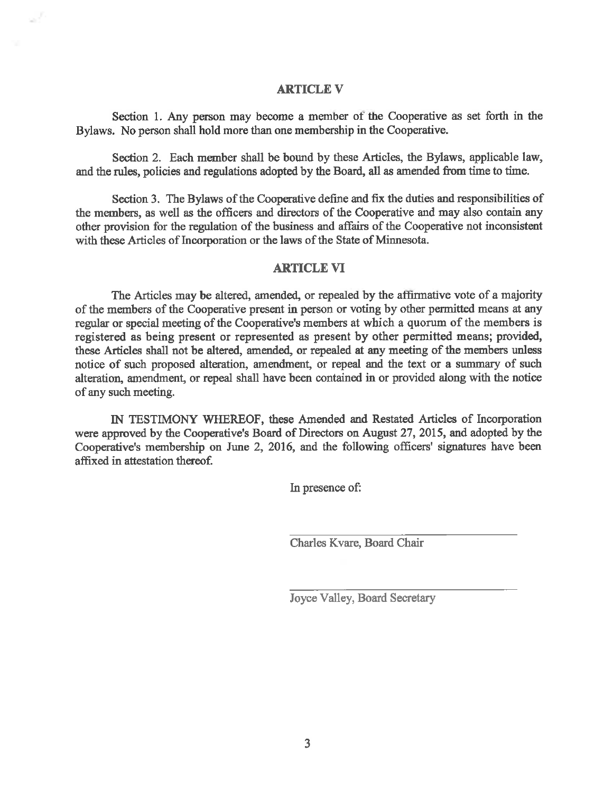## **ARTICLE V**

Section 1. Any person may become a member of the Cooperative as set forth in the Bylaws. No person shall hold more than one membership in the Cooperative.

Section 2. Each member shall be bound by these Articles, the Bylaws, applicable law, and the rules, policies and regulations adopted by the Board, all as amended from time to time.

Section 3. The Bylaws of the Cooperative define and fix the duties and responsibilities of the members, as well as the officers and directors of the Cooperative and may also contain any other provision for the regulation of the business and affairs of the Cooperative not inconsistent with these Articles of Incorporation or the laws of the State of Minnesota.

## **ARTICLE VI**

The Articles may be altered, amended, or repealed by the affirmative vote of a majority of the members of the Cooperative present in person or voting by other permitted means at any regular or special meeting of the Cooperative's members at which a quorum of the members is registered as being present or represented as present by other permitted means; provided, these Articles shall not be altered, amended, or repealed at any meeting of the members unless notice of such proposed alteration, amendment, or repeal and the text or a summary of such alteration, amendment, or repeal shall have been contained in or provided along with the notice of any such meeting.

IN TESTIMONY WHEREOF, these Amended and Restated Articles of Incorporation were approved by the Cooperative's Board of Directors on August 27, 2015, and adopted by the Cooperative's membership on June 2, 2016, and the following officers' signatures have been affixed in attestation thereof.

In presence of:

Charles Kvare, Board Chair

Joyce Valley, Board Secretary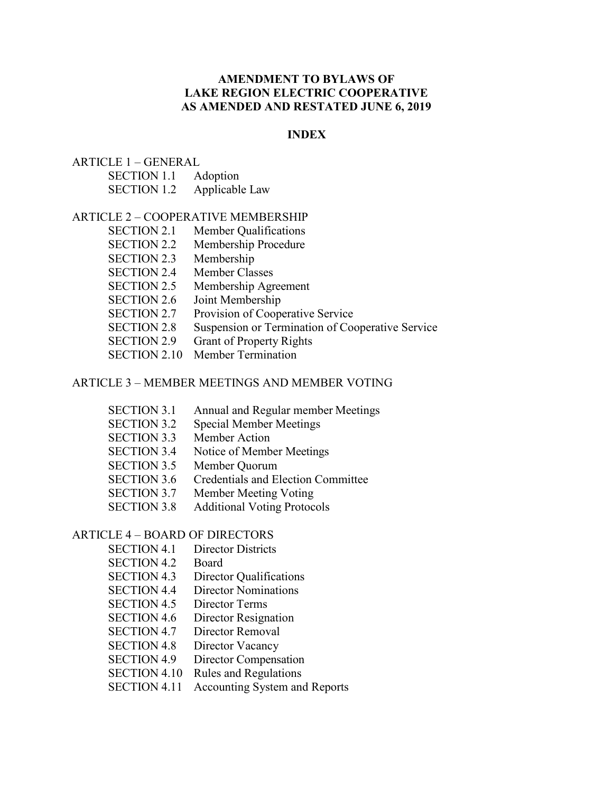# **AMENDMENT TO BYLAWS OF LAKE REGION ELECTRIC COOPERATIVE AS AMENDED AND RESTATED JUNE 6, 2019**

## **INDEX**

## $ARTICLE 1 - GENERAL$

| <b>SECTION 1.1</b> | Adoption       |
|--------------------|----------------|
| <b>SECTION 1.2</b> | Applicable Law |

### ARTICLE 2 – COOPERATIVE MEMBERSHIP

- SECTION 2.1 Member Qualifications
- SECTION 2.2 Membership Procedure
- SECTION 2.3 Membership
- SECTION 2.4 Member Classes
- SECTION 2.5 Membership Agreement
- SECTION 2.6 Joint Membership
- SECTION 2.7 Provision of Cooperative Service
- SECTION 2.8 Suspension or Termination of Cooperative Service
- SECTION 2.9 Grant of Property Rights
- SECTION 2.10 Member Termination

## ARTICLE 3 – MEMBER MEETINGS AND MEMBER VOTING

- SECTION 3.1 Annual and Regular member Meetings
- SECTION 3.2 Special Member Meetings
- SECTION 3.3 Member Action
- SECTION 3.4 Notice of Member Meetings
- SECTION 3.5 Member Quorum
- SECTION 3.6 Credentials and Election Committee
- SECTION 3.7 Member Meeting Voting
- SECTION 3.8 Additional Voting Protocols

# ARTICLE 4 – BOARD OF DIRECTORS

- SECTION 4.1 Director Districts
- SECTION 4.2 Board
- SECTION 4.3 Director Qualifications
- SECTION 4.4 Director Nominations
- SECTION 4.5 Director Terms
- SECTION 4.6 Director Resignation
- SECTION 4.7 Director Removal
- SECTION 4.8 Director Vacancy
- SECTION 4.9 Director Compensation
- SECTION 4.10 Rules and Regulations
- SECTION 4.11 Accounting System and Reports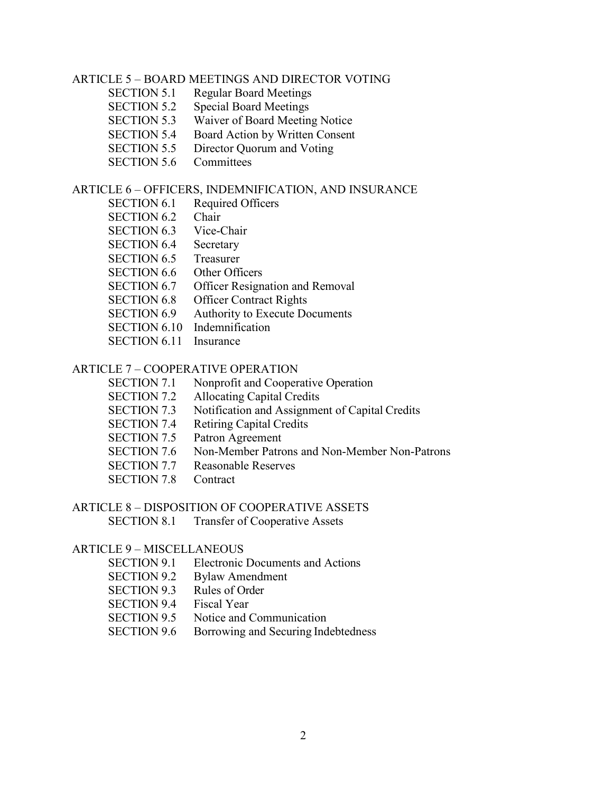### ARTICLE 5 – BOARD MEETINGS AND DIRECTOR VOTING

- SECTION 5.1 Regular Board Meetings
- SECTION 5.2 Special Board Meetings
- SECTION 5.3 Waiver of Board Meeting Notice
- SECTION 5.4 Board Action by Written Consent
- SECTION 5.5 Director Quorum and Voting
- SECTION 5.6 Committees

## ARTICLE 6 – OFFICERS, INDEMNIFICATION, AND INSURANCE

- SECTION 6.1 Required Officers
- SECTION 6.2 Chair
- SECTION 6.3 Vice-Chair
- SECTION 6.4 Secretary
- SECTION 6.5 Treasurer
- SECTION 6.6 Other Officers
- SECTION 6.7 Officer Resignation and Removal
- SECTION 6.8 Officer Contract Rights
- SECTION 6.9 Authority to Execute Documents
- SECTION 6.10 Indemnification
- SECTION 6.11 Insurance

## ARTICLE 7 – COOPERATIVE OPERATION

- SECTION 7.1 Nonprofit and Cooperative Operation
- SECTION 7.2 Allocating Capital Credits
- SECTION 7.3 Notification and Assignment of Capital Credits
- SECTION 7.4 Retiring Capital Credits
- SECTION 7.5 Patron Agreement
- SECTION 7.6 Non-Member Patrons and Non-Member Non-Patrons
- SECTION 7.7 Reasonable Reserves
- SECTION 7.8 Contract

# ARTICLE 8 – DISPOSITION OF COOPERATIVE ASSETS

SECTION 8.1 Transfer of Cooperative Assets

### ARTICLE 9 – MISCELLANEOUS

- SECTION 9.1 Electronic Documents and Actions
- SECTION 9.2 Bylaw Amendment
- SECTION 9.3 Rules of Order
- SECTION 9.4 Fiscal Year
- SECTION 9.5 Notice and Communication
- SECTION 9.6 Borrowing and Securing Indebtedness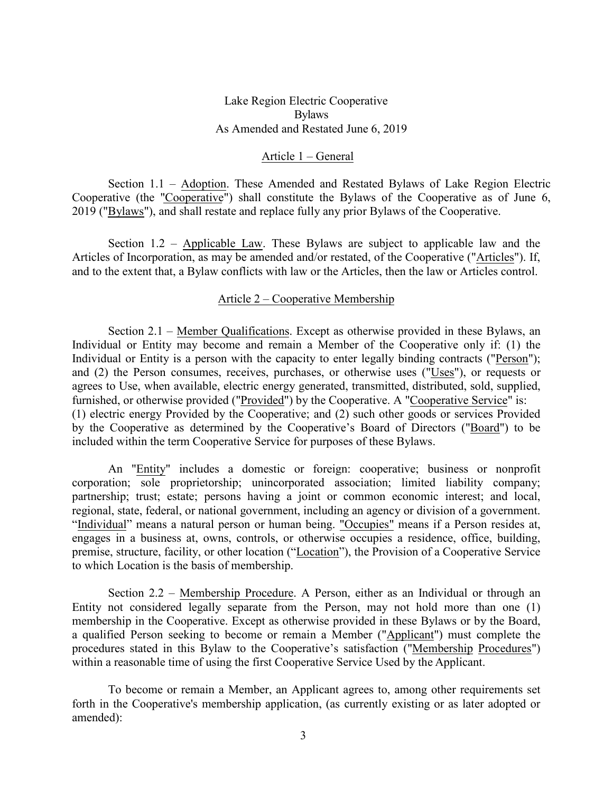Lake Region Electric Cooperative Bylaws As Amended and Restated June 6, 2019

### Article 1 – General

Section 1.1 – Adoption. These Amended and Restated Bylaws of Lake Region Electric Cooperative (the "Cooperative") shall constitute the Bylaws of the Cooperative as of June 6, 2019 ("Bylaws"), and shall restate and replace fully any prior Bylaws of the Cooperative.

Section 1.2 – Applicable Law. These Bylaws are subject to applicable law and the Articles of Incorporation, as may be amended and/or restated, of the Cooperative ("Articles"). If, and to the extent that, a Bylaw conflicts with law or the Articles, then the law or Articles control.

#### Article 2 – Cooperative Membership

Section 2.1 – Member Qualifications. Except as otherwise provided in these Bylaws, an Individual or Entity may become and remain a Member of the Cooperative only if: (1) the Individual or Entity is a person with the capacity to enter legally binding contracts ("Person"); and (2) the Person consumes, receives, purchases, or otherwise uses ("Uses"), or requests or agrees to Use, when available, electric energy generated, transmitted, distributed, sold, supplied, furnished, or otherwise provided ("Provided") by the Cooperative. A "Cooperative Service" is: (1) electric energy Provided by the Cooperative; and (2) such other goods or services Provided by the Cooperative as determined by the Cooperative's Board of Directors ("Board") to be included within the term Cooperative Service for purposes of these Bylaws.

An "Entity" includes a domestic or foreign: cooperative; business or nonprofit corporation; sole proprietorship; unincorporated association; limited liability company; partnership; trust; estate; persons having a joint or common economic interest; and local, regional, state, federal, or national government, including an agency or division of a government. "Individual" means a natural person or human being. "Occupies" means if a Person resides at, engages in a business at, owns, controls, or otherwise occupies a residence, office, building, premise, structure, facility, or other location ("Location"), the Provision of a Cooperative Service to which Location is the basis of membership.

Section 2.2 – Membership Procedure. A Person, either as an Individual or through an Entity not considered legally separate from the Person, may not hold more than one (1) membership in the Cooperative. Except as otherwise provided in these Bylaws or by the Board, a qualified Person seeking to become or remain a Member ("Applicant") must complete the procedures stated in this Bylaw to the Cooperative's satisfaction ("Membership Procedures") within a reasonable time of using the first Cooperative Service Used by the Applicant.

To become or remain a Member, an Applicant agrees to, among other requirements set forth in the Cooperative's membership application, (as currently existing or as later adopted or amended):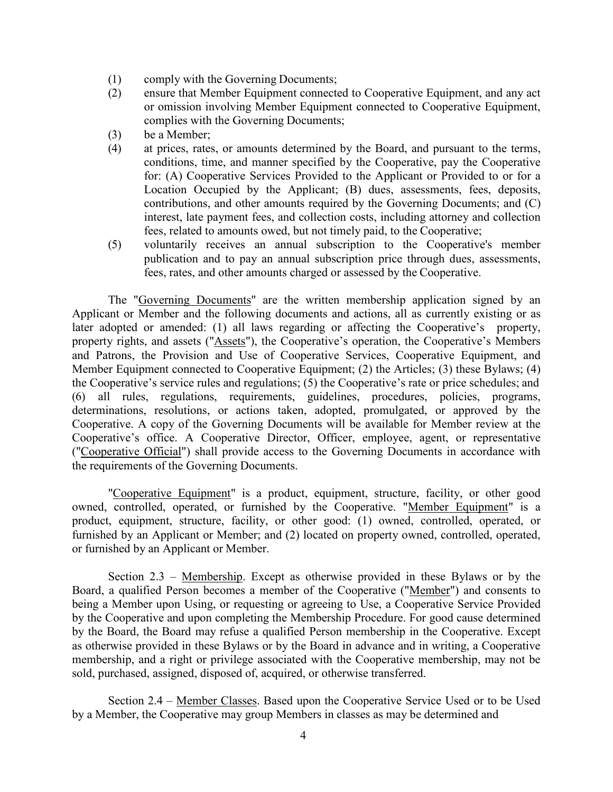- (1) comply with the Governing Documents;
- (2) ensure that Member Equipment connected to Cooperative Equipment, and any act or omission involving Member Equipment connected to Cooperative Equipment, complies with the Governing Documents;
- (3) be a Member;
- (4) at prices, rates, or amounts determined by the Board, and pursuant to the terms, conditions, time, and manner specified by the Cooperative, pay the Cooperative for: (A) Cooperative Services Provided to the Applicant or Provided to or for a Location Occupied by the Applicant; (B) dues, assessments, fees, deposits, contributions, and other amounts required by the Governing Documents; and (C) interest, late payment fees, and collection costs, including attorney and collection fees, related to amounts owed, but not timely paid, to the Cooperative;
- (5) voluntarily receives an annual subscription to the Cooperative's member publication and to pay an annual subscription price through dues, assessments, fees, rates, and other amounts charged or assessed by the Cooperative.

The "Governing Documents" are the written membership application signed by an Applicant or Member and the following documents and actions, all as currently existing or as later adopted or amended: (1) all laws regarding or affecting the Cooperative's property, property rights, and assets ("Assets"), the Cooperative's operation, the Cooperative's Members and Patrons, the Provision and Use of Cooperative Services, Cooperative Equipment, and Member Equipment connected to Cooperative Equipment; (2) the Articles; (3) these Bylaws; (4) the Cooperative's service rules and regulations; (5) the Cooperative's rate or price schedules; and (6) all rules, regulations, requirements, guidelines, procedures, policies, programs, determinations, resolutions, or actions taken, adopted, promulgated, or approved by the Cooperative. A copy of the Governing Documents will be available for Member review at the Cooperative's office. A Cooperative Director, Officer, employee, agent, or representative ("Cooperative Official") shall provide access to the Governing Documents in accordance with the requirements of the Governing Documents.

"Cooperative Equipment" is a product, equipment, structure, facility, or other good owned, controlled, operated, or furnished by the Cooperative. "Member Equipment" is a product, equipment, structure, facility, or other good: (1) owned, controlled, operated, or furnished by an Applicant or Member; and (2) located on property owned, controlled, operated, or furnished by an Applicant or Member.

Section  $2.3$  – Membership. Except as otherwise provided in these Bylaws or by the Board, a qualified Person becomes a member of the Cooperative ("Member") and consents to being a Member upon Using, or requesting or agreeing to Use, a Cooperative Service Provided by the Cooperative and upon completing the Membership Procedure. For good cause determined by the Board, the Board may refuse a qualified Person membership in the Cooperative. Except as otherwise provided in these Bylaws or by the Board in advance and in writing, a Cooperative membership, and a right or privilege associated with the Cooperative membership, may not be sold, purchased, assigned, disposed of, acquired, or otherwise transferred.

Section 2.4 – Member Classes. Based upon the Cooperative Service Used or to be Used by a Member, the Cooperative may group Members in classes as may be determined and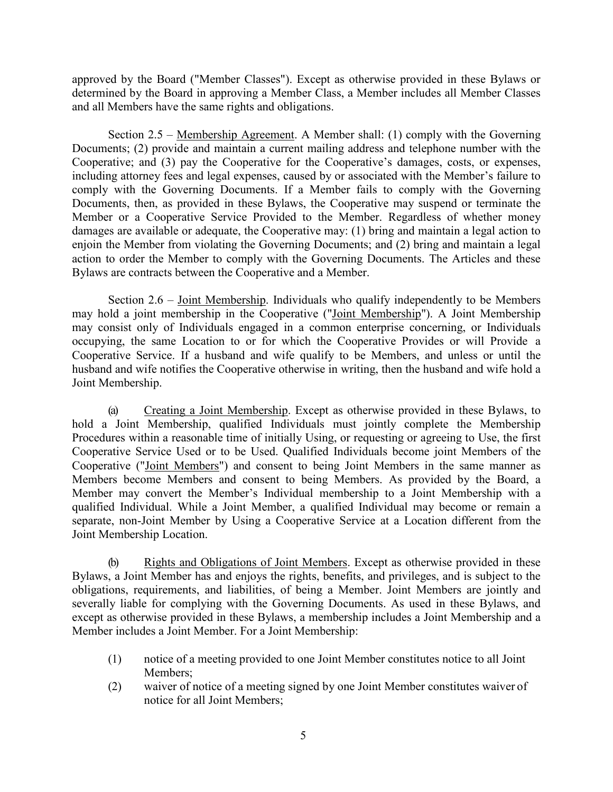approved by the Board ("Member Classes"). Except as otherwise provided in these Bylaws or determined by the Board in approving a Member Class, a Member includes all Member Classes and all Members have the same rights and obligations.

Section 2.5 – Membership Agreement. A Member shall: (1) comply with the Governing Documents; (2) provide and maintain a current mailing address and telephone number with the Cooperative; and (3) pay the Cooperative for the Cooperative's damages, costs, or expenses, including attorney fees and legal expenses, caused by or associated with the Member's failure to comply with the Governing Documents. If a Member fails to comply with the Governing Documents, then, as provided in these Bylaws, the Cooperative may suspend or terminate the Member or a Cooperative Service Provided to the Member. Regardless of whether money damages are available or adequate, the Cooperative may: (1) bring and maintain a legal action to enjoin the Member from violating the Governing Documents; and (2) bring and maintain a legal action to order the Member to comply with the Governing Documents. The Articles and these Bylaws are contracts between the Cooperative and a Member.

Section 2.6 – Joint Membership. Individuals who qualify independently to be Members may hold a joint membership in the Cooperative ("Joint Membership"). A Joint Membership may consist only of Individuals engaged in a common enterprise concerning, or Individuals occupying, the same Location to or for which the Cooperative Provides or will Provide a Cooperative Service. If a husband and wife qualify to be Members, and unless or until the husband and wife notifies the Cooperative otherwise in writing, then the husband and wife hold a Joint Membership.

(a) Creating a Joint Membership. Except as otherwise provided in these Bylaws, to hold a Joint Membership, qualified Individuals must jointly complete the Membership Procedures within a reasonable time of initially Using, or requesting or agreeing to Use, the first Cooperative Service Used or to be Used. Qualified Individuals become joint Members of the Cooperative ("Joint Members") and consent to being Joint Members in the same manner as Members become Members and consent to being Members. As provided by the Board, a Member may convert the Member's Individual membership to a Joint Membership with a qualified Individual. While a Joint Member, a qualified Individual may become or remain a separate, non-Joint Member by Using a Cooperative Service at a Location different from the Joint Membership Location.

(b) Rights and Obligations of Joint Members. Except as otherwise provided in these Bylaws, a Joint Member has and enjoys the rights, benefits, and privileges, and is subject to the obligations, requirements, and liabilities, of being a Member. Joint Members are jointly and severally liable for complying with the Governing Documents. As used in these Bylaws, and except as otherwise provided in these Bylaws, a membership includes a Joint Membership and a Member includes a Joint Member. For a Joint Membership:

- (1) notice of a meeting provided to one Joint Member constitutes notice to all Joint Members;
- (2) waiver of notice of a meeting signed by one Joint Member constitutes waiver of notice for all Joint Members;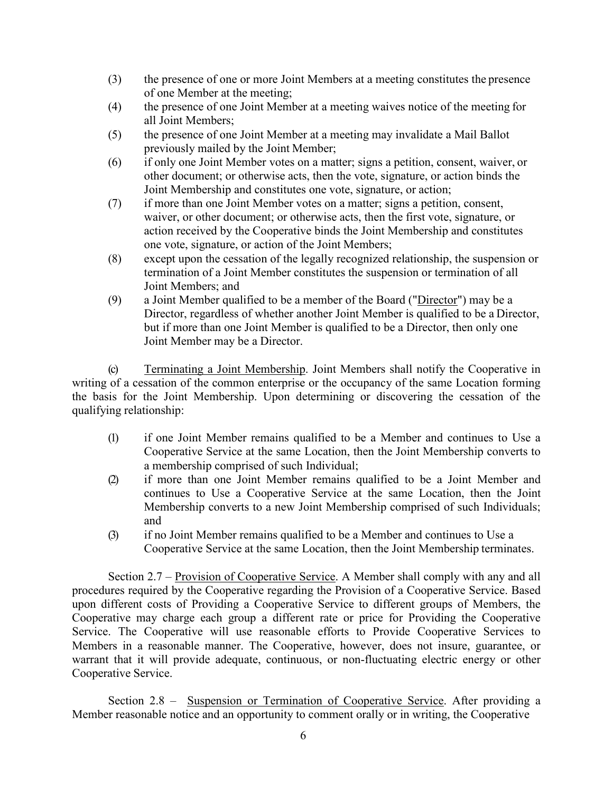- (3) the presence of one or more Joint Members at a meeting constitutes the presence of one Member at the meeting;
- (4) the presence of one Joint Member at a meeting waives notice of the meeting for all Joint Members;
- (5) the presence of one Joint Member at a meeting may invalidate a Mail Ballot previously mailed by the Joint Member;
- (6) if only one Joint Member votes on a matter; signs a petition, consent, waiver, or other document; or otherwise acts, then the vote, signature, or action binds the Joint Membership and constitutes one vote, signature, or action;
- (7) if more than one Joint Member votes on a matter; signs a petition, consent, waiver, or other document; or otherwise acts, then the first vote, signature, or action received by the Cooperative binds the Joint Membership and constitutes one vote, signature, or action of the Joint Members;
- (8) except upon the cessation of the legally recognized relationship, the suspension or termination of a Joint Member constitutes the suspension or termination of all Joint Members; and
- (9) a Joint Member qualified to be a member of the Board ("Director") may be a Director, regardless of whether another Joint Member is qualified to be a Director, but if more than one Joint Member is qualified to be a Director, then only one Joint Member may be a Director.

(c) Terminating a Joint Membership. Joint Members shall notify the Cooperative in writing of a cessation of the common enterprise or the occupancy of the same Location forming the basis for the Joint Membership. Upon determining or discovering the cessation of the qualifying relationship:

- (1) if one Joint Member remains qualified to be a Member and continues to Use a Cooperative Service at the same Location, then the Joint Membership converts to a membership comprised of such Individual;
- (2) if more than one Joint Member remains qualified to be a Joint Member and continues to Use a Cooperative Service at the same Location, then the Joint Membership converts to a new Joint Membership comprised of such Individuals; and
- (3) if no Joint Member remains qualified to be a Member and continues to Use a Cooperative Service at the same Location, then the Joint Membership terminates.

Section 2.7 – Provision of Cooperative Service. A Member shall comply with any and all procedures required by the Cooperative regarding the Provision of a Cooperative Service. Based upon different costs of Providing a Cooperative Service to different groups of Members, the Cooperative may charge each group a different rate or price for Providing the Cooperative Service. The Cooperative will use reasonable efforts to Provide Cooperative Services to Members in a reasonable manner. The Cooperative, however, does not insure, guarantee, or warrant that it will provide adequate, continuous, or non-fluctuating electric energy or other Cooperative Service.

Section 2.8 – Suspension or Termination of Cooperative Service. After providing a Member reasonable notice and an opportunity to comment orally or in writing, the Cooperative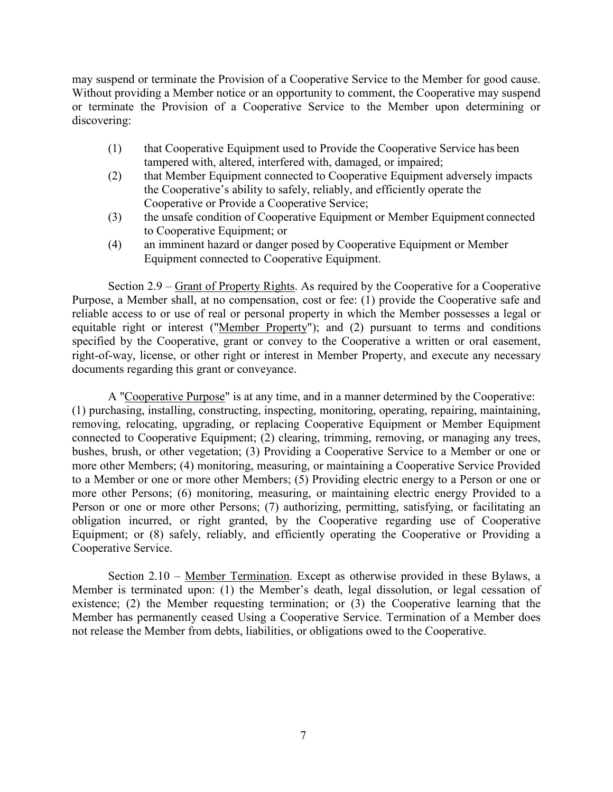may suspend or terminate the Provision of a Cooperative Service to the Member for good cause. Without providing a Member notice or an opportunity to comment, the Cooperative may suspend or terminate the Provision of a Cooperative Service to the Member upon determining or discovering:

- (1) that Cooperative Equipment used to Provide the Cooperative Service has been tampered with, altered, interfered with, damaged, or impaired;
- (2) that Member Equipment connected to Cooperative Equipment adversely impacts the Cooperative's ability to safely, reliably, and efficiently operate the Cooperative or Provide a Cooperative Service;
- (3) the unsafe condition of Cooperative Equipment or Member Equipment connected to Cooperative Equipment; or
- (4) an imminent hazard or danger posed by Cooperative Equipment or Member Equipment connected to Cooperative Equipment.

Section 2.9 – Grant of Property Rights. As required by the Cooperative for a Cooperative Purpose, a Member shall, at no compensation, cost or fee: (1) provide the Cooperative safe and reliable access to or use of real or personal property in which the Member possesses a legal or equitable right or interest ("Member Property"); and (2) pursuant to terms and conditions specified by the Cooperative, grant or convey to the Cooperative a written or oral easement, right-of-way, license, or other right or interest in Member Property, and execute any necessary documents regarding this grant or conveyance.

A "Cooperative Purpose" is at any time, and in a manner determined by the Cooperative: (1) purchasing, installing, constructing, inspecting, monitoring, operating, repairing, maintaining, removing, relocating, upgrading, or replacing Cooperative Equipment or Member Equipment connected to Cooperative Equipment; (2) clearing, trimming, removing, or managing any trees, bushes, brush, or other vegetation; (3) Providing a Cooperative Service to a Member or one or more other Members; (4) monitoring, measuring, or maintaining a Cooperative Service Provided to a Member or one or more other Members; (5) Providing electric energy to a Person or one or more other Persons; (6) monitoring, measuring, or maintaining electric energy Provided to a Person or one or more other Persons; (7) authorizing, permitting, satisfying, or facilitating an obligation incurred, or right granted, by the Cooperative regarding use of Cooperative Equipment; or (8) safely, reliably, and efficiently operating the Cooperative or Providing a Cooperative Service.

Section 2.10 – Member Termination. Except as otherwise provided in these Bylaws, a Member is terminated upon: (1) the Member's death, legal dissolution, or legal cessation of existence; (2) the Member requesting termination; or (3) the Cooperative learning that the Member has permanently ceased Using a Cooperative Service. Termination of a Member does not release the Member from debts, liabilities, or obligations owed to the Cooperative.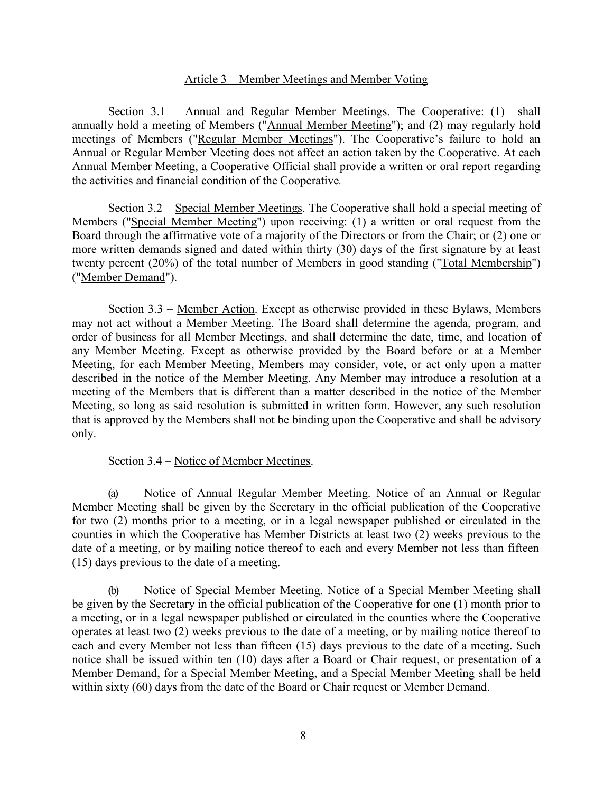#### Article 3 – Member Meetings and Member Voting

Section 3.1 – Annual and Regular Member Meetings. The Cooperative: (1) shall annually hold a meeting of Members ("Annual Member Meeting"); and (2) may regularly hold meetings of Members ("Regular Member Meetings"). The Cooperative's failure to hold an Annual or Regular Member Meeting does not affect an action taken by the Cooperative. At each Annual Member Meeting, a Cooperative Official shall provide a written or oral report regarding the activities and financial condition of the Cooperative*.* 

Section 3.2 – Special Member Meetings. The Cooperative shall hold a special meeting of Members ("Special Member Meeting") upon receiving: (1) a written or oral request from the Board through the affirmative vote of a majority of the Directors or from the Chair; or (2) one or more written demands signed and dated within thirty (30) days of the first signature by at least twenty percent (20%) of the total number of Members in good standing ("Total Membership") ("Member Demand").

Section 3.3 – Member Action. Except as otherwise provided in these Bylaws, Members may not act without a Member Meeting. The Board shall determine the agenda, program, and order of business for all Member Meetings, and shall determine the date, time, and location of any Member Meeting. Except as otherwise provided by the Board before or at a Member Meeting, for each Member Meeting, Members may consider, vote, or act only upon a matter described in the notice of the Member Meeting. Any Member may introduce a resolution at a meeting of the Members that is different than a matter described in the notice of the Member Meeting, so long as said resolution is submitted in written form. However, any such resolution that is approved by the Members shall not be binding upon the Cooperative and shall be advisory only.

### Section 3.4 – Notice of Member Meetings.

(a) Notice of Annual Regular Member Meeting. Notice of an Annual or Regular Member Meeting shall be given by the Secretary in the official publication of the Cooperative for two (2) months prior to a meeting, or in a legal newspaper published or circulated in the counties in which the Cooperative has Member Districts at least two (2) weeks previous to the date of a meeting, or by mailing notice thereof to each and every Member not less than fifteen (15) days previous to the date of a meeting.

(b) Notice of Special Member Meeting. Notice of a Special Member Meeting shall be given by the Secretary in the official publication of the Cooperative for one (1) month prior to a meeting, or in a legal newspaper published or circulated in the counties where the Cooperative operates at least two (2) weeks previous to the date of a meeting, or by mailing notice thereof to each and every Member not less than fifteen (15) days previous to the date of a meeting. Such notice shall be issued within ten (10) days after a Board or Chair request, or presentation of a Member Demand, for a Special Member Meeting, and a Special Member Meeting shall be held within sixty (60) days from the date of the Board or Chair request or Member Demand.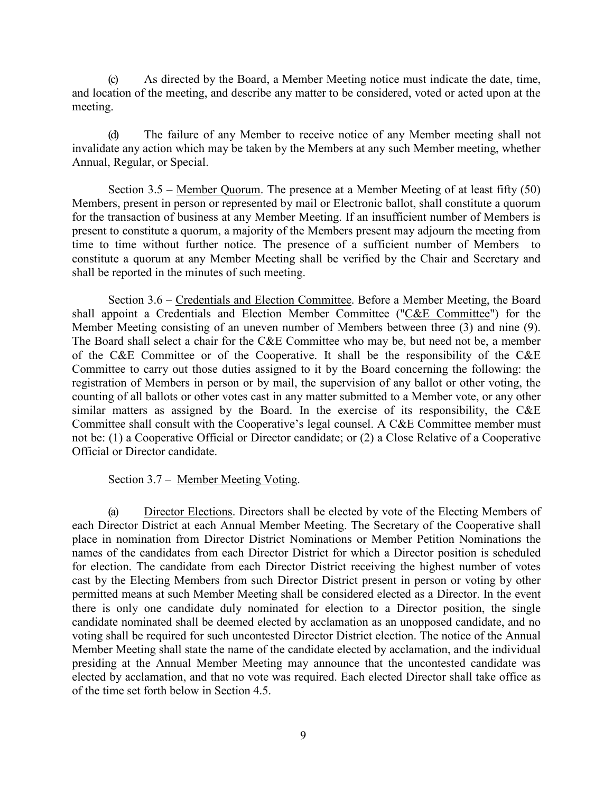(c) As directed by the Board, a Member Meeting notice must indicate the date, time, and location of the meeting, and describe any matter to be considered, voted or acted upon at the meeting.

(d) The failure of any Member to receive notice of any Member meeting shall not invalidate any action which may be taken by the Members at any such Member meeting, whether Annual, Regular, or Special.

Section 3.5 – Member Quorum. The presence at a Member Meeting of at least fifty (50) Members, present in person or represented by mail or Electronic ballot, shall constitute a quorum for the transaction of business at any Member Meeting. If an insufficient number of Members is present to constitute a quorum, a majority of the Members present may adjourn the meeting from time to time without further notice. The presence of a sufficient number of Members to constitute a quorum at any Member Meeting shall be verified by the Chair and Secretary and shall be reported in the minutes of such meeting.

Section 3.6 – Credentials and Election Committee. Before a Member Meeting, the Board shall appoint a Credentials and Election Member Committee ("C&E Committee") for the Member Meeting consisting of an uneven number of Members between three (3) and nine (9). The Board shall select a chair for the C&E Committee who may be, but need not be, a member of the C&E Committee or of the Cooperative. It shall be the responsibility of the C&E Committee to carry out those duties assigned to it by the Board concerning the following: the registration of Members in person or by mail, the supervision of any ballot or other voting, the counting of all ballots or other votes cast in any matter submitted to a Member vote, or any other similar matters as assigned by the Board. In the exercise of its responsibility, the C&E Committee shall consult with the Cooperative's legal counsel. A C&E Committee member must not be: (1) a Cooperative Official or Director candidate; or (2) a Close Relative of a Cooperative Official or Director candidate.

Section 3.7 – Member Meeting Voting.

(a) Director Elections. Directors shall be elected by vote of the Electing Members of each Director District at each Annual Member Meeting. The Secretary of the Cooperative shall place in nomination from Director District Nominations or Member Petition Nominations the names of the candidates from each Director District for which a Director position is scheduled for election. The candidate from each Director District receiving the highest number of votes cast by the Electing Members from such Director District present in person or voting by other permitted means at such Member Meeting shall be considered elected as a Director. In the event there is only one candidate duly nominated for election to a Director position, the single candidate nominated shall be deemed elected by acclamation as an unopposed candidate, and no voting shall be required for such uncontested Director District election. The notice of the Annual Member Meeting shall state the name of the candidate elected by acclamation, and the individual presiding at the Annual Member Meeting may announce that the uncontested candidate was elected by acclamation, and that no vote was required. Each elected Director shall take office as of the time set forth below in Section 4.5.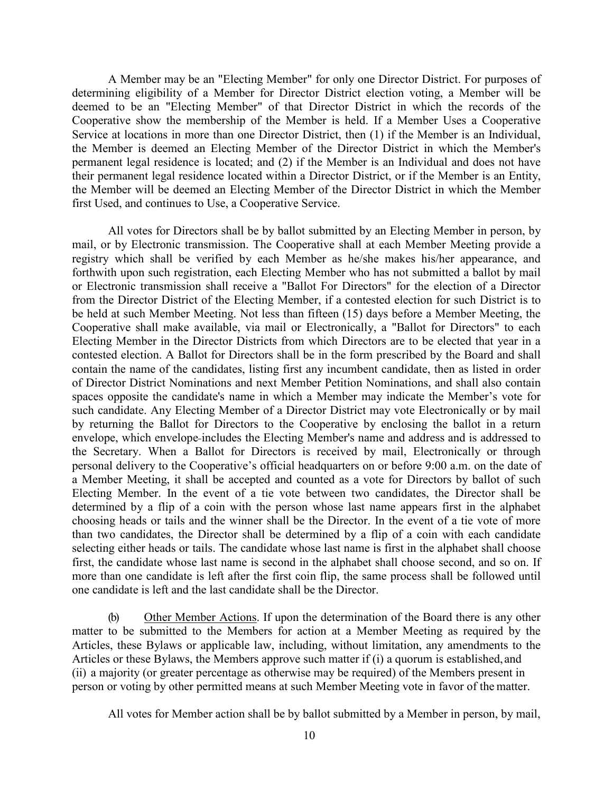A Member may be an "Electing Member" for only one Director District. For purposes of determining eligibility of a Member for Director District election voting, a Member will be deemed to be an "Electing Member" of that Director District in which the records of the Cooperative show the membership of the Member is held. If a Member Uses a Cooperative Service at locations in more than one Director District, then (1) if the Member is an Individual, the Member is deemed an Electing Member of the Director District in which the Member's permanent legal residence is located; and (2) if the Member is an Individual and does not have their permanent legal residence located within a Director District, or if the Member is an Entity, the Member will be deemed an Electing Member of the Director District in which the Member first Used, and continues to Use, a Cooperative Service.

All votes for Directors shall be by ballot submitted by an Electing Member in person, by mail, or by Electronic transmission. The Cooperative shall at each Member Meeting provide a registry which shall be verified by each Member as he/she makes his/her appearance, and forthwith upon such registration, each Electing Member who has not submitted a ballot by mail or Electronic transmission shall receive a "Ballot For Directors" for the election of a Director from the Director District of the Electing Member, if a contested election for such District is to be held at such Member Meeting. Not less than fifteen (15) days before a Member Meeting, the Cooperative shall make available, via mail or Electronically, a "Ballot for Directors" to each Electing Member in the Director Districts from which Directors are to be elected that year in a contested election. A Ballot for Directors shall be in the form prescribed by the Board and shall contain the name of the candidates, listing first any incumbent candidate, then as listed in order of Director District Nominations and next Member Petition Nominations, and shall also contain spaces opposite the candidate's name in which a Member may indicate the Member's vote for such candidate. Any Electing Member of a Director District may vote Electronically or by mail by returning the Ballot for Directors to the Cooperative by enclosing the ballot in a return envelope, which envelope includes the Electing Member's name and address and is addressed to the Secretary. When a Ballot for Directors is received by mail, Electronically or through personal delivery to the Cooperative's official headquarters on or before 9:00 a.m. on the date of a Member Meeting, it shall be accepted and counted as a vote for Directors by ballot of such Electing Member. In the event of a tie vote between two candidates, the Director shall be determined by a flip of a coin with the person whose last name appears first in the alphabet choosing heads or tails and the winner shall be the Director. In the event of a tie vote of more than two candidates, the Director shall be determined by a flip of a coin with each candidate selecting either heads or tails. The candidate whose last name is first in the alphabet shall choose first, the candidate whose last name is second in the alphabet shall choose second, and so on. If more than one candidate is left after the first coin flip, the same process shall be followed until one candidate is left and the last candidate shall be the Director.

(b) Other Member Actions. If upon the determination of the Board there is any other matter to be submitted to the Members for action at a Member Meeting as required by the Articles, these Bylaws or applicable law, including, without limitation, any amendments to the Articles or these Bylaws, the Members approve such matter if (i) a quorum is established, and (ii) a majority (or greater percentage as otherwise may be required) of the Members present in person or voting by other permitted means at such Member Meeting vote in favor of the matter.

All votes for Member action shall be by ballot submitted by a Member in person, by mail,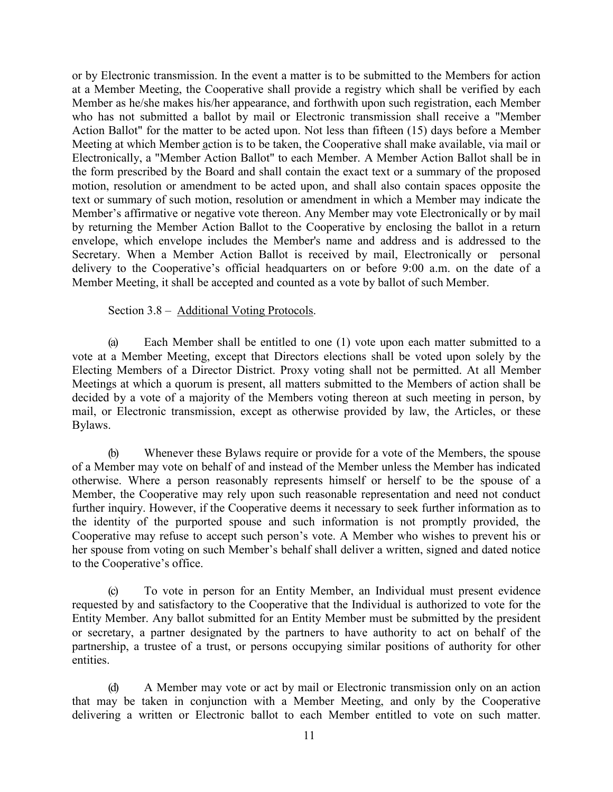or by Electronic transmission. In the event a matter is to be submitted to the Members for action at a Member Meeting, the Cooperative shall provide a registry which shall be verified by each Member as he/she makes his/her appearance, and forthwith upon such registration, each Member who has not submitted a ballot by mail or Electronic transmission shall receive a "Member Action Ballot" for the matter to be acted upon. Not less than fifteen (15) days before a Member Meeting at which Member action is to be taken, the Cooperative shall make available, via mail or Electronically, a "Member Action Ballot" to each Member. A Member Action Ballot shall be in the form prescribed by the Board and shall contain the exact text or a summary of the proposed motion, resolution or amendment to be acted upon, and shall also contain spaces opposite the text or summary of such motion, resolution or amendment in which a Member may indicate the Member's affirmative or negative vote thereon. Any Member may vote Electronically or by mail by returning the Member Action Ballot to the Cooperative by enclosing the ballot in a return envelope, which envelope includes the Member's name and address and is addressed to the Secretary. When a Member Action Ballot is received by mail, Electronically or personal delivery to the Cooperative's official headquarters on or before 9:00 a.m. on the date of a Member Meeting, it shall be accepted and counted as a vote by ballot of such Member.

Section 3.8 – Additional Voting Protocols.

(a) Each Member shall be entitled to one (1) vote upon each matter submitted to a vote at a Member Meeting, except that Directors elections shall be voted upon solely by the Electing Members of a Director District. Proxy voting shall not be permitted. At all Member Meetings at which a quorum is present, all matters submitted to the Members of action shall be decided by a vote of a majority of the Members voting thereon at such meeting in person, by mail, or Electronic transmission, except as otherwise provided by law, the Articles, or these Bylaws.

(b) Whenever these Bylaws require or provide for a vote of the Members, the spouse of a Member may vote on behalf of and instead of the Member unless the Member has indicated otherwise. Where a person reasonably represents himself or herself to be the spouse of a Member, the Cooperative may rely upon such reasonable representation and need not conduct further inquiry. However, if the Cooperative deems it necessary to seek further information as to the identity of the purported spouse and such information is not promptly provided, the Cooperative may refuse to accept such person's vote. A Member who wishes to prevent his or her spouse from voting on such Member's behalf shall deliver a written, signed and dated notice to the Cooperative's office.

(c) To vote in person for an Entity Member, an Individual must present evidence requested by and satisfactory to the Cooperative that the Individual is authorized to vote for the Entity Member. Any ballot submitted for an Entity Member must be submitted by the president or secretary, a partner designated by the partners to have authority to act on behalf of the partnership, a trustee of a trust, or persons occupying similar positions of authority for other entities.

(d) A Member may vote or act by mail or Electronic transmission only on an action that may be taken in conjunction with a Member Meeting, and only by the Cooperative delivering a written or Electronic ballot to each Member entitled to vote on such matter.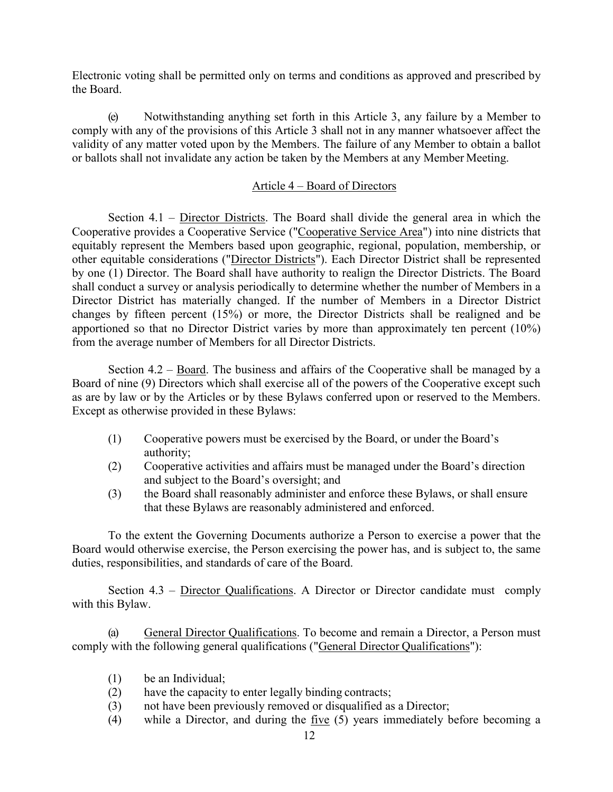Electronic voting shall be permitted only on terms and conditions as approved and prescribed by the Board.

(e) Notwithstanding anything set forth in this Article 3, any failure by a Member to comply with any of the provisions of this Article 3 shall not in any manner whatsoever affect the validity of any matter voted upon by the Members. The failure of any Member to obtain a ballot or ballots shall not invalidate any action be taken by the Members at any Member Meeting.

## Article 4 – Board of Directors

Section  $4.1 -$  Director Districts. The Board shall divide the general area in which the Cooperative provides a Cooperative Service ("Cooperative Service Area") into nine districts that equitably represent the Members based upon geographic, regional, population, membership, or other equitable considerations ("Director Districts"). Each Director District shall be represented by one (1) Director. The Board shall have authority to realign the Director Districts. The Board shall conduct a survey or analysis periodically to determine whether the number of Members in a Director District has materially changed. If the number of Members in a Director District changes by fifteen percent (15%) or more, the Director Districts shall be realigned and be apportioned so that no Director District varies by more than approximately ten percent (10%) from the average number of Members for all Director Districts.

Section 4.2 – Board. The business and affairs of the Cooperative shall be managed by a Board of nine (9) Directors which shall exercise all of the powers of the Cooperative except such as are by law or by the Articles or by these Bylaws conferred upon or reserved to the Members. Except as otherwise provided in these Bylaws:

- (1) Cooperative powers must be exercised by the Board, or under the Board's authority;
- (2) Cooperative activities and affairs must be managed under the Board's direction and subject to the Board's oversight; and
- (3) the Board shall reasonably administer and enforce these Bylaws, or shall ensure that these Bylaws are reasonably administered and enforced.

To the extent the Governing Documents authorize a Person to exercise a power that the Board would otherwise exercise, the Person exercising the power has, and is subject to, the same duties, responsibilities, and standards of care of the Board.

Section 4.3 – Director Qualifications. A Director or Director candidate must comply with this Bylaw.

(a) General Director Qualifications. To become and remain a Director, a Person must comply with the following general qualifications ("General Director Qualifications"):

- (1) be an Individual;
- (2) have the capacity to enter legally binding contracts;
- (3) not have been previously removed or disqualified as a Director;
- (4) while a Director, and during the five (5) years immediately before becoming a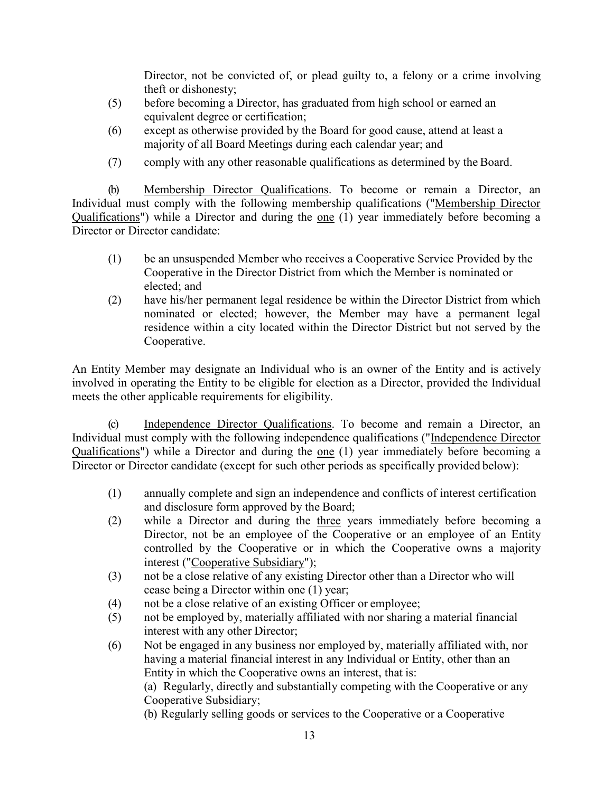Director, not be convicted of, or plead guilty to, a felony or a crime involving theft or dishonesty;

- (5) before becoming a Director, has graduated from high school or earned an equivalent degree or certification;
- (6) except as otherwise provided by the Board for good cause, attend at least a majority of all Board Meetings during each calendar year; and
- (7) comply with any other reasonable qualifications as determined by the Board.

(b) Membership Director Qualifications. To become or remain a Director, an Individual must comply with the following membership qualifications ("Membership Director Qualifications") while a Director and during the one (1) year immediately before becoming a Director or Director candidate:

- (1) be an unsuspended Member who receives a Cooperative Service Provided by the Cooperative in the Director District from which the Member is nominated or elected; and
- (2) have his/her permanent legal residence be within the Director District from which nominated or elected; however, the Member may have a permanent legal residence within a city located within the Director District but not served by the Cooperative.

An Entity Member may designate an Individual who is an owner of the Entity and is actively involved in operating the Entity to be eligible for election as a Director, provided the Individual meets the other applicable requirements for eligibility.

(c) Independence Director Qualifications. To become and remain a Director, an Individual must comply with the following independence qualifications ("Independence Director Qualifications") while a Director and during the one (1) year immediately before becoming a Director or Director candidate (except for such other periods as specifically provided below):

- (1) annually complete and sign an independence and conflicts of interest certification and disclosure form approved by the Board;
- (2) while a Director and during the three years immediately before becoming a Director, not be an employee of the Cooperative or an employee of an Entity controlled by the Cooperative or in which the Cooperative owns a majority interest ("Cooperative Subsidiary");
- (3) not be a close relative of any existing Director other than a Director who will cease being a Director within one (1) year;
- (4) not be a close relative of an existing Officer or employee;
- (5) not be employed by, materially affiliated with nor sharing a material financial interest with any other Director;
- (6) Not be engaged in any business nor employed by, materially affiliated with, nor having a material financial interest in any Individual or Entity, other than an Entity in which the Cooperative owns an interest, that is:

(a) Regularly, directly and substantially competing with the Cooperative or any Cooperative Subsidiary;

(b) Regularly selling goods or services to the Cooperative or a Cooperative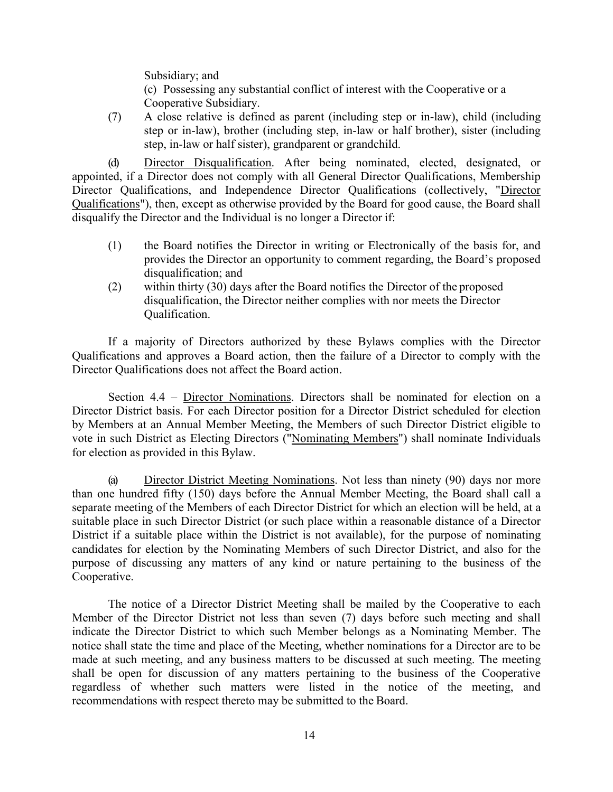Subsidiary; and

(c) Possessing any substantial conflict of interest with the Cooperative or a Cooperative Subsidiary.

(7) A close relative is defined as parent (including step or in-law), child (including step or in-law), brother (including step, in-law or half brother), sister (including step, in-law or half sister), grandparent or grandchild.

(d) Director Disqualification. After being nominated, elected, designated, or appointed, if a Director does not comply with all General Director Qualifications, Membership Director Qualifications, and Independence Director Qualifications (collectively, "Director Qualifications"), then, except as otherwise provided by the Board for good cause, the Board shall disqualify the Director and the Individual is no longer a Director if:

- (1) the Board notifies the Director in writing or Electronically of the basis for, and provides the Director an opportunity to comment regarding, the Board's proposed disqualification; and
- (2) within thirty (30) days after the Board notifies the Director of the proposed disqualification, the Director neither complies with nor meets the Director Qualification.

If a majority of Directors authorized by these Bylaws complies with the Director Qualifications and approves a Board action, then the failure of a Director to comply with the Director Qualifications does not affect the Board action.

Section 4.4 – Director Nominations. Directors shall be nominated for election on a Director District basis. For each Director position for a Director District scheduled for election by Members at an Annual Member Meeting, the Members of such Director District eligible to vote in such District as Electing Directors ("Nominating Members") shall nominate Individuals for election as provided in this Bylaw.

(a) Director District Meeting Nominations. Not less than ninety (90) days nor more than one hundred fifty (150) days before the Annual Member Meeting, the Board shall call a separate meeting of the Members of each Director District for which an election will be held, at a suitable place in such Director District (or such place within a reasonable distance of a Director District if a suitable place within the District is not available), for the purpose of nominating candidates for election by the Nominating Members of such Director District, and also for the purpose of discussing any matters of any kind or nature pertaining to the business of the Cooperative.

The notice of a Director District Meeting shall be mailed by the Cooperative to each Member of the Director District not less than seven (7) days before such meeting and shall indicate the Director District to which such Member belongs as a Nominating Member. The notice shall state the time and place of the Meeting, whether nominations for a Director are to be made at such meeting, and any business matters to be discussed at such meeting. The meeting shall be open for discussion of any matters pertaining to the business of the Cooperative regardless of whether such matters were listed in the notice of the meeting, and recommendations with respect thereto may be submitted to the Board.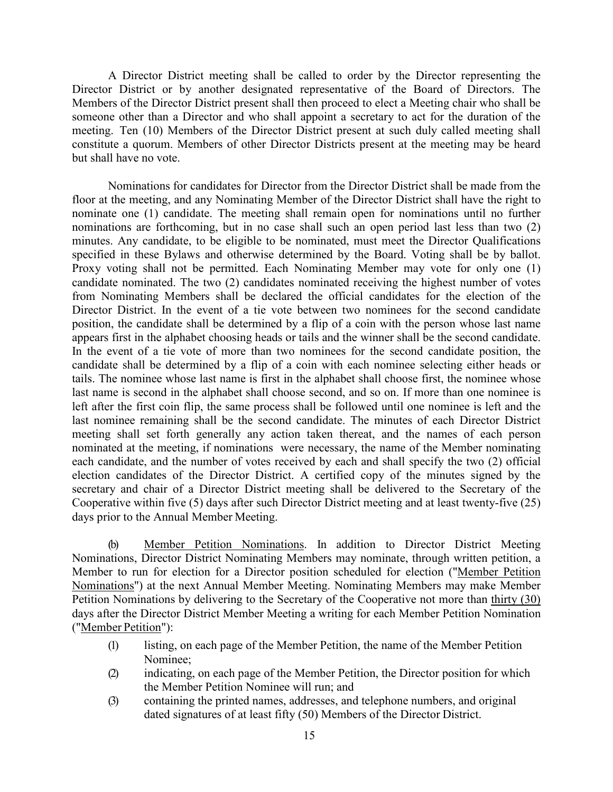A Director District meeting shall be called to order by the Director representing the Director District or by another designated representative of the Board of Directors. The Members of the Director District present shall then proceed to elect a Meeting chair who shall be someone other than a Director and who shall appoint a secretary to act for the duration of the meeting. Ten (10) Members of the Director District present at such duly called meeting shall constitute a quorum. Members of other Director Districts present at the meeting may be heard but shall have no vote.

Nominations for candidates for Director from the Director District shall be made from the floor at the meeting, and any Nominating Member of the Director District shall have the right to nominate one (1) candidate. The meeting shall remain open for nominations until no further nominations are forthcoming, but in no case shall such an open period last less than two (2) minutes. Any candidate, to be eligible to be nominated, must meet the Director Qualifications specified in these Bylaws and otherwise determined by the Board. Voting shall be by ballot. Proxy voting shall not be permitted. Each Nominating Member may vote for only one (1) candidate nominated. The two (2) candidates nominated receiving the highest number of votes from Nominating Members shall be declared the official candidates for the election of the Director District. In the event of a tie vote between two nominees for the second candidate position, the candidate shall be determined by a flip of a coin with the person whose last name appears first in the alphabet choosing heads or tails and the winner shall be the second candidate. In the event of a tie vote of more than two nominees for the second candidate position, the candidate shall be determined by a flip of a coin with each nominee selecting either heads or tails. The nominee whose last name is first in the alphabet shall choose first, the nominee whose last name is second in the alphabet shall choose second, and so on. If more than one nominee is left after the first coin flip, the same process shall be followed until one nominee is left and the last nominee remaining shall be the second candidate. The minutes of each Director District meeting shall set forth generally any action taken thereat, and the names of each person nominated at the meeting, if nominations were necessary, the name of the Member nominating each candidate, and the number of votes received by each and shall specify the two (2) official election candidates of the Director District. A certified copy of the minutes signed by the secretary and chair of a Director District meeting shall be delivered to the Secretary of the Cooperative within five (5) days after such Director District meeting and at least twenty-five (25) days prior to the Annual Member Meeting.

Member Petition Nominations. In addition to Director District Meeting Nominations, Director District Nominating Members may nominate, through written petition, a Member to run for election for a Director position scheduled for election ("Member Petition Nominations") at the next Annual Member Meeting. Nominating Members may make Member Petition Nominations by delivering to the Secretary of the Cooperative not more than thirty (30) days after the Director District Member Meeting a writing for each Member Petition Nomination ("Member Petition"):

- (1) listing, on each page of the Member Petition, the name of the Member Petition Nominee;
- (2) indicating, on each page of the Member Petition, the Director position for which the Member Petition Nominee will run; and
- (3) containing the printed names, addresses, and telephone numbers, and original dated signatures of at least fifty (50) Members of the Director District.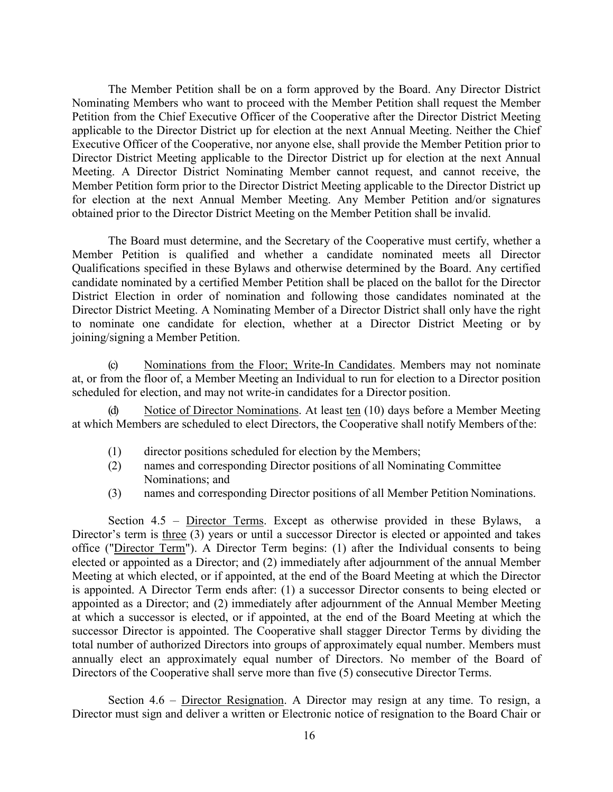The Member Petition shall be on a form approved by the Board. Any Director District Nominating Members who want to proceed with the Member Petition shall request the Member Petition from the Chief Executive Officer of the Cooperative after the Director District Meeting applicable to the Director District up for election at the next Annual Meeting. Neither the Chief Executive Officer of the Cooperative, nor anyone else, shall provide the Member Petition prior to Director District Meeting applicable to the Director District up for election at the next Annual Meeting. A Director District Nominating Member cannot request, and cannot receive, the Member Petition form prior to the Director District Meeting applicable to the Director District up for election at the next Annual Member Meeting. Any Member Petition and/or signatures obtained prior to the Director District Meeting on the Member Petition shall be invalid.

The Board must determine, and the Secretary of the Cooperative must certify, whether a Member Petition is qualified and whether a candidate nominated meets all Director Qualifications specified in these Bylaws and otherwise determined by the Board. Any certified candidate nominated by a certified Member Petition shall be placed on the ballot for the Director District Election in order of nomination and following those candidates nominated at the Director District Meeting. A Nominating Member of a Director District shall only have the right to nominate one candidate for election, whether at a Director District Meeting or by joining/signing a Member Petition.

(c) Nominations from the Floor; Write-In Candidates. Members may not nominate at, or from the floor of, a Member Meeting an Individual to run for election to a Director position scheduled for election, and may not write-in candidates for a Director position.

(d) Notice of Director Nominations. At least ten (10) days before a Member Meeting at which Members are scheduled to elect Directors, the Cooperative shall notify Members ofthe:

- (1) director positions scheduled for election by the Members;
- (2) names and corresponding Director positions of all Nominating Committee Nominations; and
- (3) names and corresponding Director positions of all Member Petition Nominations.

Section  $4.5$  – Director Terms. Except as otherwise provided in these Bylaws, a Director's term is three (3) years or until a successor Director is elected or appointed and takes office ("Director Term"). A Director Term begins: (1) after the Individual consents to being elected or appointed as a Director; and (2) immediately after adjournment of the annual Member Meeting at which elected, or if appointed, at the end of the Board Meeting at which the Director is appointed. A Director Term ends after: (1) a successor Director consents to being elected or appointed as a Director; and (2) immediately after adjournment of the Annual Member Meeting at which a successor is elected, or if appointed, at the end of the Board Meeting at which the successor Director is appointed. The Cooperative shall stagger Director Terms by dividing the total number of authorized Directors into groups of approximately equal number. Members must annually elect an approximately equal number of Directors. No member of the Board of Directors of the Cooperative shall serve more than five (5) consecutive Director Terms.

Section 4.6 – Director Resignation. A Director may resign at any time. To resign, a Director must sign and deliver a written or Electronic notice of resignation to the Board Chair or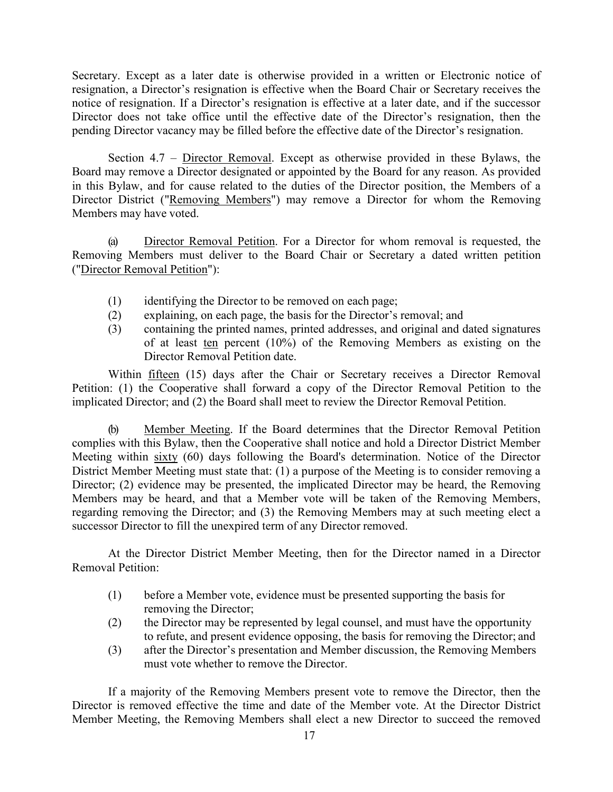Secretary. Except as a later date is otherwise provided in a written or Electronic notice of resignation, a Director's resignation is effective when the Board Chair or Secretary receives the notice of resignation. If a Director's resignation is effective at a later date, and if the successor Director does not take office until the effective date of the Director's resignation, then the pending Director vacancy may be filled before the effective date of the Director's resignation.

Section 4.7 – Director Removal. Except as otherwise provided in these Bylaws, the Board may remove a Director designated or appointed by the Board for any reason. As provided in this Bylaw, and for cause related to the duties of the Director position, the Members of a Director District ("Removing Members") may remove a Director for whom the Removing Members may have voted.

(a) Director Removal Petition. For a Director for whom removal is requested, the Removing Members must deliver to the Board Chair or Secretary a dated written petition ("Director Removal Petition"):

- (1) identifying the Director to be removed on each page;
- (2) explaining, on each page, the basis for the Director's removal; and
- (3) containing the printed names, printed addresses, and original and dated signatures of at least ten percent (10%) of the Removing Members as existing on the Director Removal Petition date.

Within fifteen (15) days after the Chair or Secretary receives a Director Removal Petition: (1) the Cooperative shall forward a copy of the Director Removal Petition to the implicated Director; and (2) the Board shall meet to review the Director Removal Petition.

(b) Member Meeting. If the Board determines that the Director Removal Petition complies with this Bylaw, then the Cooperative shall notice and hold a Director District Member Meeting within sixty (60) days following the Board's determination. Notice of the Director District Member Meeting must state that: (1) a purpose of the Meeting is to consider removing a Director; (2) evidence may be presented, the implicated Director may be heard, the Removing Members may be heard, and that a Member vote will be taken of the Removing Members, regarding removing the Director; and (3) the Removing Members may at such meeting elect a successor Director to fill the unexpired term of any Director removed.

At the Director District Member Meeting, then for the Director named in a Director Removal Petition:

- (1) before a Member vote, evidence must be presented supporting the basis for removing the Director;
- (2) the Director may be represented by legal counsel, and must have the opportunity to refute, and present evidence opposing, the basis for removing the Director; and
- (3) after the Director's presentation and Member discussion, the Removing Members must vote whether to remove the Director.

If a majority of the Removing Members present vote to remove the Director, then the Director is removed effective the time and date of the Member vote. At the Director District Member Meeting, the Removing Members shall elect a new Director to succeed the removed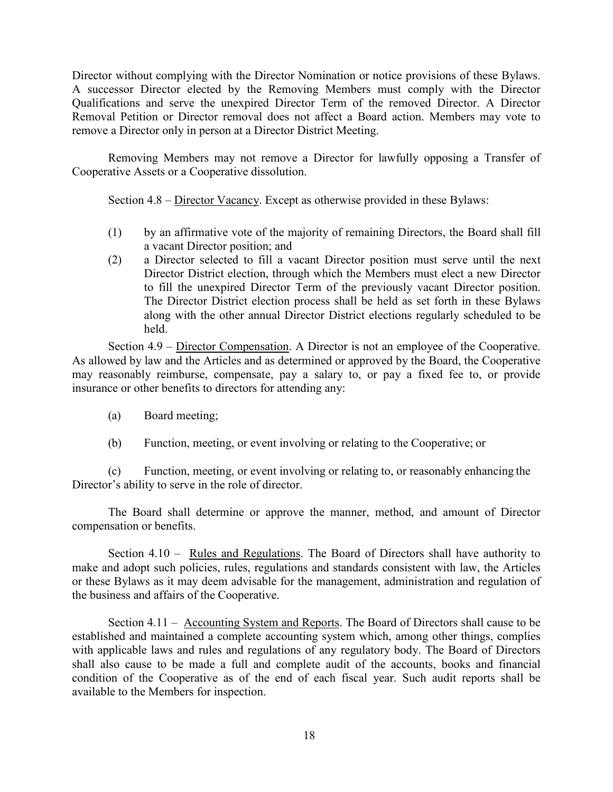Director without complying with the Director Nomination or notice provisions of these Bylaws. A successor Director elected by the Removing Members must comply with the Director Qualifications and serve the unexpired Director Term of the removed Director. A Director Removal Petition or Director removal does not affect a Board action. Members may vote to remove a Director only in person at a Director District Meeting.

Removing Members may not remove a Director for lawfully opposing a Transfer of Cooperative Assets or a Cooperative dissolution.

Section 4.8 – Director Vacancy. Except as otherwise provided in these Bylaws:

- (1) by an affirmative vote of the majority of remaining Directors, the Board shall fill a vacant Director position; and
- (2) a Director selected to fill a vacant Director position must serve until the next Director District election, through which the Members must elect a new Director to fill the unexpired Director Term of the previously vacant Director position. The Director District election process shall be held as set forth in these Bylaws along with the other annual Director District elections regularly scheduled to be held.

Section 4.9 – Director Compensation. A Director is not an employee of the Cooperative. As allowed by law and the Articles and as determined or approved by the Board, the Cooperative may reasonably reimburse, compensate, pay a salary to, or pay a fixed fee to, or provide insurance or other benefits to directors for attending any:

- (a) Board meeting;
- (b) Function, meeting, or event involving or relating to the Cooperative; or

(c) Function, meeting, or event involving or relating to, or reasonably enhancing the Director's ability to serve in the role of director.

The Board shall determine or approve the manner, method, and amount of Director compensation or benefits.

Section 4.10 – Rules and Regulations. The Board of Directors shall have authority to make and adopt such policies, rules, regulations and standards consistent with law, the Articles or these Bylaws as it may deem advisable for the management, administration and regulation of the business and affairs of the Cooperative.

Section 4.11 – Accounting System and Reports. The Board of Directors shall cause to be established and maintained a complete accounting system which, among other things, complies with applicable laws and rules and regulations of any regulatory body. The Board of Directors shall also cause to be made a full and complete audit of the accounts, books and financial condition of the Cooperative as of the end of each fiscal year. Such audit reports shall be available to the Members for inspection.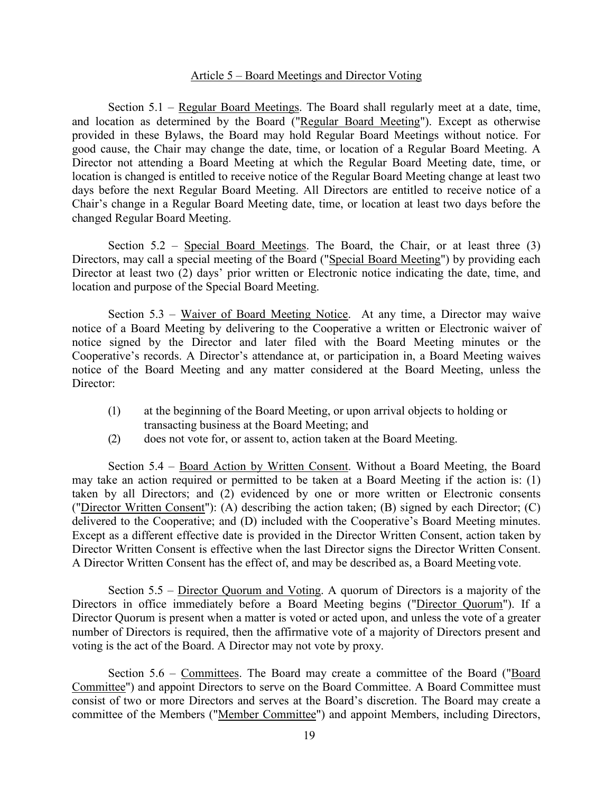#### Article 5 – Board Meetings and Director Voting

Section 5.1 – Regular Board Meetings. The Board shall regularly meet at a date, time, and location as determined by the Board ("Regular Board Meeting"). Except as otherwise provided in these Bylaws, the Board may hold Regular Board Meetings without notice. For good cause, the Chair may change the date, time, or location of a Regular Board Meeting. A Director not attending a Board Meeting at which the Regular Board Meeting date, time, or location is changed is entitled to receive notice of the Regular Board Meeting change at least two days before the next Regular Board Meeting. All Directors are entitled to receive notice of a Chair's change in a Regular Board Meeting date, time, or location at least two days before the changed Regular Board Meeting.

Section 5.2 – Special Board Meetings. The Board, the Chair, or at least three (3) Directors, may call a special meeting of the Board ("Special Board Meeting") by providing each Director at least two (2) days' prior written or Electronic notice indicating the date, time, and location and purpose of the Special Board Meeting.

Section 5.3 – Waiver of Board Meeting Notice. At any time, a Director may waive notice of a Board Meeting by delivering to the Cooperative a written or Electronic waiver of notice signed by the Director and later filed with the Board Meeting minutes or the Cooperative's records. A Director's attendance at, or participation in, a Board Meeting waives notice of the Board Meeting and any matter considered at the Board Meeting, unless the Director:

- (1) at the beginning of the Board Meeting, or upon arrival objects to holding or transacting business at the Board Meeting; and
- (2) does not vote for, or assent to, action taken at the Board Meeting.

Section 5.4 – Board Action by Written Consent. Without a Board Meeting, the Board may take an action required or permitted to be taken at a Board Meeting if the action is: (1) taken by all Directors; and (2) evidenced by one or more written or Electronic consents ("Director Written Consent"): (A) describing the action taken; (B) signed by each Director; (C) delivered to the Cooperative; and (D) included with the Cooperative's Board Meeting minutes. Except as a different effective date is provided in the Director Written Consent, action taken by Director Written Consent is effective when the last Director signs the Director Written Consent. A Director Written Consent has the effect of, and may be described as, a Board Meeting vote.

Section 5.5 – Director Quorum and Voting. A quorum of Directors is a majority of the Directors in office immediately before a Board Meeting begins ("Director Quorum"). If a Director Quorum is present when a matter is voted or acted upon, and unless the vote of a greater number of Directors is required, then the affirmative vote of a majority of Directors present and voting is the act of the Board. A Director may not vote by proxy.

Section 5.6 – Committees. The Board may create a committee of the Board ("Board Committee") and appoint Directors to serve on the Board Committee. A Board Committee must consist of two or more Directors and serves at the Board's discretion. The Board may create a committee of the Members ("Member Committee") and appoint Members, including Directors,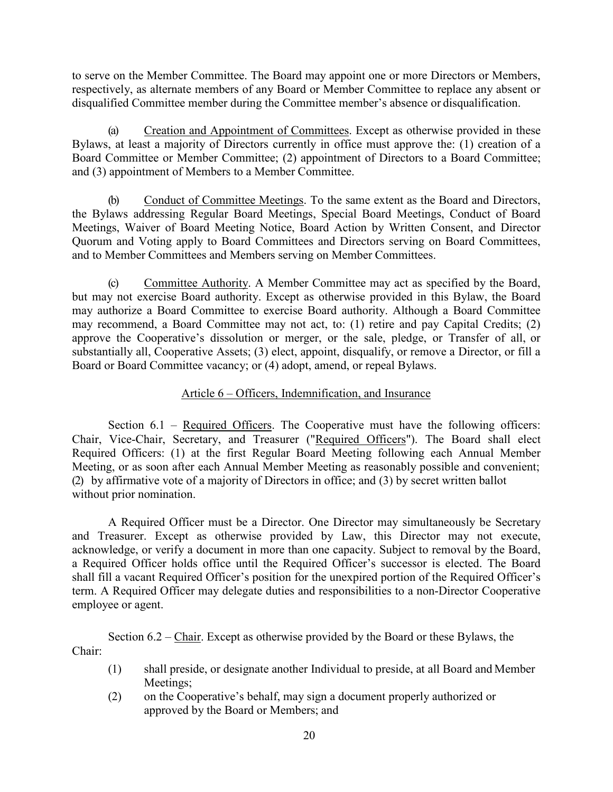to serve on the Member Committee. The Board may appoint one or more Directors or Members, respectively, as alternate members of any Board or Member Committee to replace any absent or disqualified Committee member during the Committee member's absence or disqualification.

(a) Creation and Appointment of Committees. Except as otherwise provided in these Bylaws, at least a majority of Directors currently in office must approve the: (1) creation of a Board Committee or Member Committee; (2) appointment of Directors to a Board Committee; and (3) appointment of Members to a Member Committee.

(b) Conduct of Committee Meetings. To the same extent as the Board and Directors, the Bylaws addressing Regular Board Meetings, Special Board Meetings, Conduct of Board Meetings, Waiver of Board Meeting Notice, Board Action by Written Consent, and Director Quorum and Voting apply to Board Committees and Directors serving on Board Committees, and to Member Committees and Members serving on Member Committees.

(c) Committee Authority. A Member Committee may act as specified by the Board, but may not exercise Board authority. Except as otherwise provided in this Bylaw, the Board may authorize a Board Committee to exercise Board authority. Although a Board Committee may recommend, a Board Committee may not act, to: (1) retire and pay Capital Credits; (2) approve the Cooperative's dissolution or merger, or the sale, pledge, or Transfer of all, or substantially all, Cooperative Assets; (3) elect, appoint, disqualify, or remove a Director, or fill a Board or Board Committee vacancy; or (4) adopt, amend, or repeal Bylaws.

# Article 6 – Officers, Indemnification, and Insurance

Section 6.1 – Required Officers. The Cooperative must have the following officers: Chair, Vice-Chair, Secretary, and Treasurer ("Required Officers"). The Board shall elect Required Officers: (1) at the first Regular Board Meeting following each Annual Member Meeting, or as soon after each Annual Member Meeting as reasonably possible and convenient; (2) by affirmative vote of a majority of Directors in office; and (3) by secret written ballot without prior nomination.

A Required Officer must be a Director. One Director may simultaneously be Secretary and Treasurer. Except as otherwise provided by Law, this Director may not execute, acknowledge, or verify a document in more than one capacity. Subject to removal by the Board, a Required Officer holds office until the Required Officer's successor is elected. The Board shall fill a vacant Required Officer's position for the unexpired portion of the Required Officer's term. A Required Officer may delegate duties and responsibilities to a non-Director Cooperative employee or agent.

Section 6.2 – Chair. Except as otherwise provided by the Board or these Bylaws, the Chair:

- (1) shall preside, or designate another Individual to preside, at all Board and Member Meetings;
- (2) on the Cooperative's behalf, may sign a document properly authorized or approved by the Board or Members; and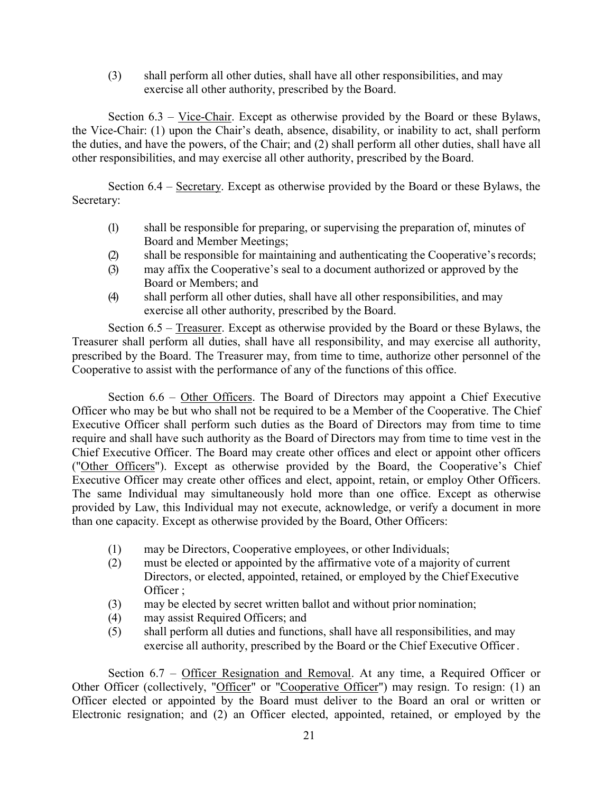(3) shall perform all other duties, shall have all other responsibilities, and may exercise all other authority, prescribed by the Board.

Section  $6.3 - \text{Vice-Chair}$ . Except as otherwise provided by the Board or these Bylaws, the Vice-Chair: (1) upon the Chair's death, absence, disability, or inability to act, shall perform the duties, and have the powers, of the Chair; and (2) shall perform all other duties, shall have all other responsibilities, and may exercise all other authority, prescribed by the Board.

Section 6.4 – Secretary. Except as otherwise provided by the Board or these Bylaws, the Secretary:

- (1) shall be responsible for preparing, or supervising the preparation of, minutes of Board and Member Meetings;
- (2) shall be responsible for maintaining and authenticating the Cooperative's records;
- (3) may affix the Cooperative's seal to a document authorized or approved by the Board or Members; and
- (4) shall perform all other duties, shall have all other responsibilities, and may exercise all other authority, prescribed by the Board.

Section 6.5 – Treasurer. Except as otherwise provided by the Board or these Bylaws, the Treasurer shall perform all duties, shall have all responsibility, and may exercise all authority, prescribed by the Board. The Treasurer may, from time to time, authorize other personnel of the Cooperative to assist with the performance of any of the functions of this office.

Section 6.6 – Other Officers. The Board of Directors may appoint a Chief Executive Officer who may be but who shall not be required to be a Member of the Cooperative. The Chief Executive Officer shall perform such duties as the Board of Directors may from time to time require and shall have such authority as the Board of Directors may from time to time vest in the Chief Executive Officer. The Board may create other offices and elect or appoint other officers ("Other Officers"). Except as otherwise provided by the Board, the Cooperative's Chief Executive Officer may create other offices and elect, appoint, retain, or employ Other Officers. The same Individual may simultaneously hold more than one office. Except as otherwise provided by Law, this Individual may not execute, acknowledge, or verify a document in more than one capacity. Except as otherwise provided by the Board, Other Officers:

- (1) may be Directors, Cooperative employees, or other Individuals;
- (2) must be elected or appointed by the affirmative vote of a majority of current Directors, or elected, appointed, retained, or employed by the Chief Executive Officer ;
- (3) may be elected by secret written ballot and without prior nomination;
- (4) may assist Required Officers; and
- (5) shall perform all duties and functions, shall have all responsibilities, and may exercise all authority, prescribed by the Board or the Chief Executive Officer .

Section 6.7 – Officer Resignation and Removal. At any time, a Required Officer or Other Officer (collectively, "Officer" or "Cooperative Officer") may resign. To resign: (1) an Officer elected or appointed by the Board must deliver to the Board an oral or written or Electronic resignation; and (2) an Officer elected, appointed, retained, or employed by the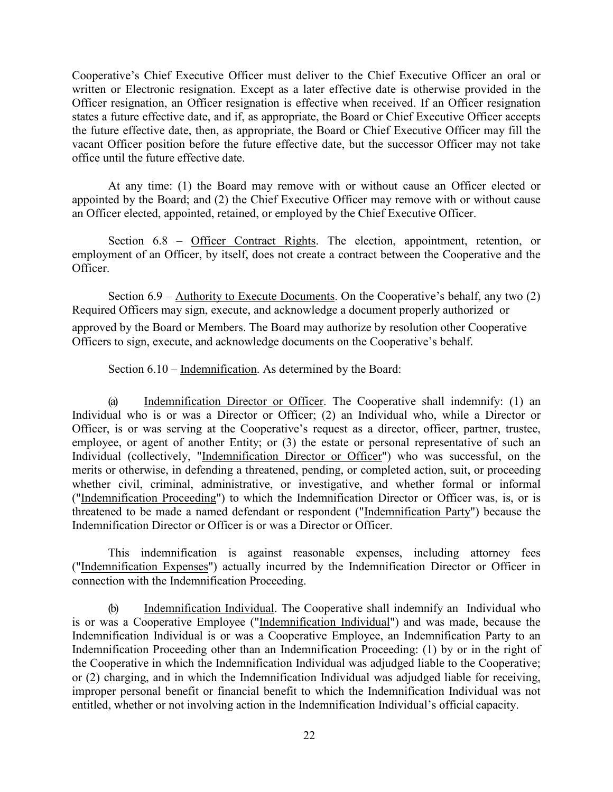Cooperative's Chief Executive Officer must deliver to the Chief Executive Officer an oral or written or Electronic resignation. Except as a later effective date is otherwise provided in the Officer resignation, an Officer resignation is effective when received. If an Officer resignation states a future effective date, and if, as appropriate, the Board or Chief Executive Officer accepts the future effective date, then, as appropriate, the Board or Chief Executive Officer may fill the vacant Officer position before the future effective date, but the successor Officer may not take office until the future effective date.

At any time: (1) the Board may remove with or without cause an Officer elected or appointed by the Board; and (2) the Chief Executive Officer may remove with or without cause an Officer elected, appointed, retained, or employed by the Chief Executive Officer.

Section 6.8 – Officer Contract Rights. The election, appointment, retention, or employment of an Officer, by itself, does not create a contract between the Cooperative and the Officer.

Section  $6.9 -$  Authority to Execute Documents. On the Cooperative's behalf, any two  $(2)$ Required Officers may sign, execute, and acknowledge a document properly authorized or approved by the Board or Members. The Board may authorize by resolution other Cooperative Officers to sign, execute, and acknowledge documents on the Cooperative's behalf.

Section 6.10 – Indemnification. As determined by the Board:

(a) Indemnification Director or Officer. The Cooperative shall indemnify: (1) an Individual who is or was a Director or Officer; (2) an Individual who, while a Director or Officer, is or was serving at the Cooperative's request as a director, officer, partner, trustee, employee, or agent of another Entity; or (3) the estate or personal representative of such an Individual (collectively, "Indemnification Director or Officer") who was successful, on the merits or otherwise, in defending a threatened, pending, or completed action, suit, or proceeding whether civil, criminal, administrative, or investigative, and whether formal or informal ("Indemnification Proceeding") to which the Indemnification Director or Officer was, is, or is threatened to be made a named defendant or respondent ("Indemnification Party") because the Indemnification Director or Officer is or was a Director or Officer.

This indemnification is against reasonable expenses, including attorney fees ("Indemnification Expenses") actually incurred by the Indemnification Director or Officer in connection with the Indemnification Proceeding.

(b) Indemnification Individual. The Cooperative shall indemnify an Individual who is or was a Cooperative Employee ("Indemnification Individual") and was made, because the Indemnification Individual is or was a Cooperative Employee, an Indemnification Party to an Indemnification Proceeding other than an Indemnification Proceeding: (1) by or in the right of the Cooperative in which the Indemnification Individual was adjudged liable to the Cooperative; or (2) charging, and in which the Indemnification Individual was adjudged liable for receiving, improper personal benefit or financial benefit to which the Indemnification Individual was not entitled, whether or not involving action in the Indemnification Individual's official capacity.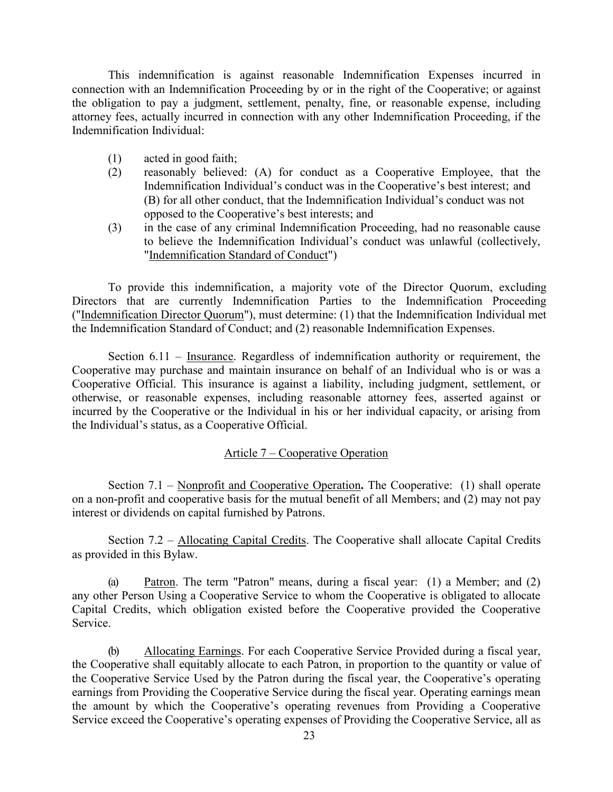This indemnification is against reasonable Indemnification Expenses incurred in connection with an Indemnification Proceeding by or in the right of the Cooperative; or against the obligation to pay a judgment, settlement, penalty, fine, or reasonable expense, including attorney fees, actually incurred in connection with any other Indemnification Proceeding, if the Indemnification Individual:

- (1) acted in good faith;
- (2) reasonably believed: (A) for conduct as a Cooperative Employee, that the Indemnification Individual's conduct was in the Cooperative's best interest; and (B) for all other conduct, that the Indemnification Individual's conduct was not opposed to the Cooperative's best interests; and
- (3) in the case of any criminal Indemnification Proceeding, had no reasonable cause to believe the Indemnification Individual's conduct was unlawful (collectively, "Indemnification Standard of Conduct")

To provide this indemnification, a majority vote of the Director Quorum, excluding Directors that are currently Indemnification Parties to the Indemnification Proceeding ("Indemnification Director Quorum"), must determine: (1) that the Indemnification Individual met the Indemnification Standard of Conduct; and (2) reasonable Indemnification Expenses.

Section 6.11 – Insurance. Regardless of indemnification authority or requirement, the Cooperative may purchase and maintain insurance on behalf of an Individual who is or was a Cooperative Official. This insurance is against a liability, including judgment, settlement, or otherwise, or reasonable expenses, including reasonable attorney fees, asserted against or incurred by the Cooperative or the Individual in his or her individual capacity, or arising from the Individual's status, as a Cooperative Official.

## Article 7 – Cooperative Operation

Section 7.1 – Nonprofit and Cooperative Operation**.** The Cooperative: (1) shall operate on a non-profit and cooperative basis for the mutual benefit of all Members; and (2) may not pay interest or dividends on capital furnished by Patrons.

Section 7.2 – Allocating Capital Credits. The Cooperative shall allocate Capital Credits as provided in this Bylaw.

(a) Patron. The term "Patron" means, during a fiscal year: (1) a Member; and (2) any other Person Using a Cooperative Service to whom the Cooperative is obligated to allocate Capital Credits, which obligation existed before the Cooperative provided the Cooperative Service.

(b) Allocating Earnings. For each Cooperative Service Provided during a fiscal year, the Cooperative shall equitably allocate to each Patron, in proportion to the quantity or value of the Cooperative Service Used by the Patron during the fiscal year, the Cooperative's operating earnings from Providing the Cooperative Service during the fiscal year. Operating earnings mean the amount by which the Cooperative's operating revenues from Providing a Cooperative Service exceed the Cooperative's operating expenses of Providing the Cooperative Service, all as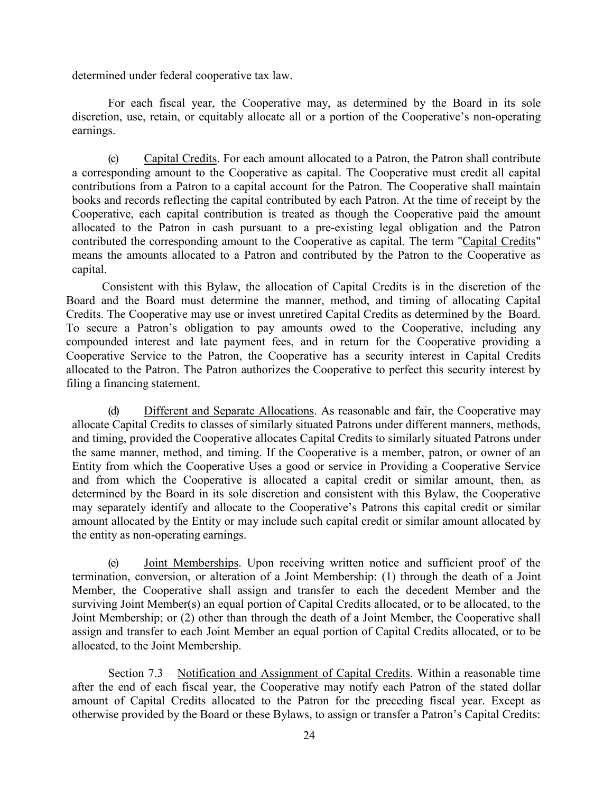determined under federal cooperative tax law.

For each fiscal year, the Cooperative may, as determined by the Board in its sole discretion, use, retain, or equitably allocate all or a portion of the Cooperative's non-operating earnings.

(c) Capital Credits. For each amount allocated to a Patron, the Patron shall contribute a corresponding amount to the Cooperative as capital. The Cooperative must credit all capital contributions from a Patron to a capital account for the Patron. The Cooperative shall maintain books and records reflecting the capital contributed by each Patron. At the time of receipt by the Cooperative, each capital contribution is treated as though the Cooperative paid the amount allocated to the Patron in cash pursuant to a pre-existing legal obligation and the Patron contributed the corresponding amount to the Cooperative as capital. The term "Capital Credits" means the amounts allocated to a Patron and contributed by the Patron to the Cooperative as capital.

Consistent with this Bylaw, the allocation of Capital Credits is in the discretion of the Board and the Board must determine the manner, method, and timing of allocating Capital Credits. The Cooperative may use or invest unretired Capital Credits as determined by the Board. To secure a Patron's obligation to pay amounts owed to the Cooperative, including any compounded interest and late payment fees, and in return for the Cooperative providing a Cooperative Service to the Patron, the Cooperative has a security interest in Capital Credits allocated to the Patron. The Patron authorizes the Cooperative to perfect this security interest by filing a financing statement.

(d) Different and Separate Allocations. As reasonable and fair, the Cooperative may allocate Capital Credits to classes of similarly situated Patrons under different manners, methods, and timing, provided the Cooperative allocates Capital Credits to similarly situated Patrons under the same manner, method, and timing. If the Cooperative is a member, patron, or owner of an Entity from which the Cooperative Uses a good or service in Providing a Cooperative Service and from which the Cooperative is allocated a capital credit or similar amount, then, as determined by the Board in its sole discretion and consistent with this Bylaw, the Cooperative may separately identify and allocate to the Cooperative's Patrons this capital credit or similar amount allocated by the Entity or may include such capital credit or similar amount allocated by the entity as non-operating earnings.

(e) Joint Memberships. Upon receiving written notice and sufficient proof of the termination, conversion, or alteration of a Joint Membership: (1) through the death of a Joint Member, the Cooperative shall assign and transfer to each the decedent Member and the surviving Joint Member(s) an equal portion of Capital Credits allocated, or to be allocated, to the Joint Membership; or (2) other than through the death of a Joint Member, the Cooperative shall assign and transfer to each Joint Member an equal portion of Capital Credits allocated, or to be allocated, to the Joint Membership.

Section 7.3 – Notification and Assignment of Capital Credits. Within a reasonable time after the end of each fiscal year, the Cooperative may notify each Patron of the stated dollar amount of Capital Credits allocated to the Patron for the preceding fiscal year. Except as otherwise provided by the Board or these Bylaws, to assign or transfer a Patron's Capital Credits: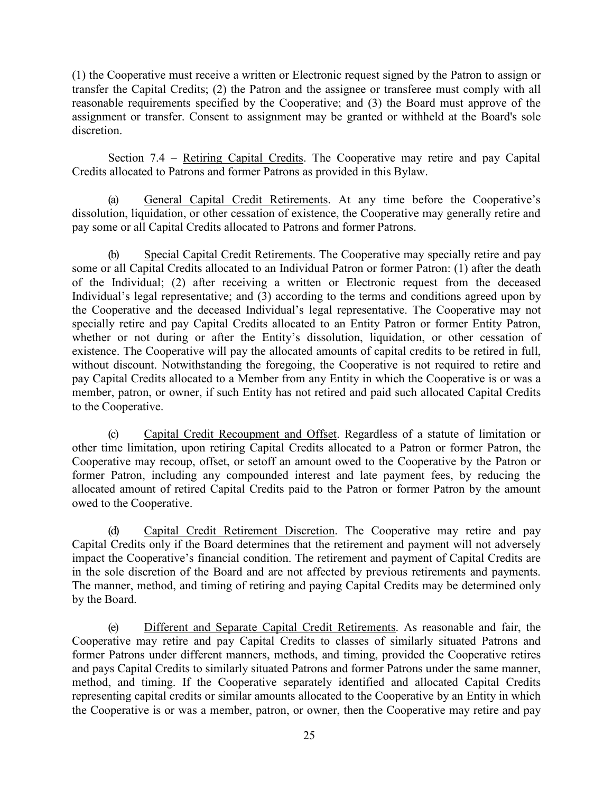(1) the Cooperative must receive a written or Electronic request signed by the Patron to assign or transfer the Capital Credits; (2) the Patron and the assignee or transferee must comply with all reasonable requirements specified by the Cooperative; and (3) the Board must approve of the assignment or transfer. Consent to assignment may be granted or withheld at the Board's sole discretion.

Section 7.4 – Retiring Capital Credits. The Cooperative may retire and pay Capital Credits allocated to Patrons and former Patrons as provided in this Bylaw.

(a) General Capital Credit Retirements. At any time before the Cooperative's dissolution, liquidation, or other cessation of existence, the Cooperative may generally retire and pay some or all Capital Credits allocated to Patrons and former Patrons.

(b) Special Capital Credit Retirements. The Cooperative may specially retire and pay some or all Capital Credits allocated to an Individual Patron or former Patron: (1) after the death of the Individual; (2) after receiving a written or Electronic request from the deceased Individual's legal representative; and (3) according to the terms and conditions agreed upon by the Cooperative and the deceased Individual's legal representative. The Cooperative may not specially retire and pay Capital Credits allocated to an Entity Patron or former Entity Patron, whether or not during or after the Entity's dissolution, liquidation, or other cessation of existence. The Cooperative will pay the allocated amounts of capital credits to be retired in full, without discount. Notwithstanding the foregoing, the Cooperative is not required to retire and pay Capital Credits allocated to a Member from any Entity in which the Cooperative is or was a member, patron, or owner, if such Entity has not retired and paid such allocated Capital Credits to the Cooperative.

(c) Capital Credit Recoupment and Offset. Regardless of a statute of limitation or other time limitation, upon retiring Capital Credits allocated to a Patron or former Patron, the Cooperative may recoup, offset, or setoff an amount owed to the Cooperative by the Patron or former Patron, including any compounded interest and late payment fees, by reducing the allocated amount of retired Capital Credits paid to the Patron or former Patron by the amount owed to the Cooperative.

(d) Capital Credit Retirement Discretion. The Cooperative may retire and pay Capital Credits only if the Board determines that the retirement and payment will not adversely impact the Cooperative's financial condition. The retirement and payment of Capital Credits are in the sole discretion of the Board and are not affected by previous retirements and payments. The manner, method, and timing of retiring and paying Capital Credits may be determined only by the Board.

(e) Different and Separate Capital Credit Retirements. As reasonable and fair, the Cooperative may retire and pay Capital Credits to classes of similarly situated Patrons and former Patrons under different manners, methods, and timing, provided the Cooperative retires and pays Capital Credits to similarly situated Patrons and former Patrons under the same manner, method, and timing. If the Cooperative separately identified and allocated Capital Credits representing capital credits or similar amounts allocated to the Cooperative by an Entity in which the Cooperative is or was a member, patron, or owner, then the Cooperative may retire and pay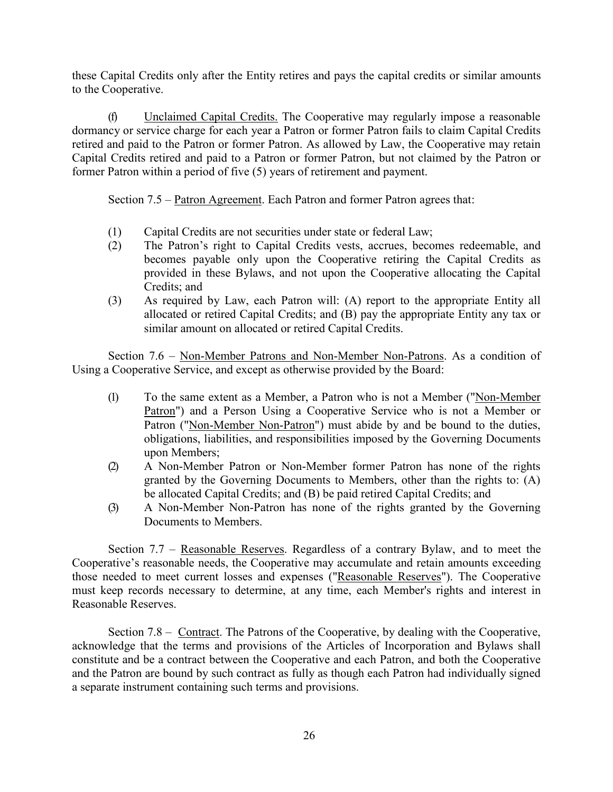these Capital Credits only after the Entity retires and pays the capital credits or similar amounts to the Cooperative.

(f) Unclaimed Capital Credits. The Cooperative may regularly impose a reasonable dormancy or service charge for each year a Patron or former Patron fails to claim Capital Credits retired and paid to the Patron or former Patron. As allowed by Law, the Cooperative may retain Capital Credits retired and paid to a Patron or former Patron, but not claimed by the Patron or former Patron within a period of five (5) years of retirement and payment.

Section 7.5 – Patron Agreement. Each Patron and former Patron agrees that:

- (1) Capital Credits are not securities under state or federal Law;
- (2) The Patron's right to Capital Credits vests, accrues, becomes redeemable, and becomes payable only upon the Cooperative retiring the Capital Credits as provided in these Bylaws, and not upon the Cooperative allocating the Capital Credits; and
- (3) As required by Law, each Patron will: (A) report to the appropriate Entity all allocated or retired Capital Credits; and (B) pay the appropriate Entity any tax or similar amount on allocated or retired Capital Credits.

Section 7.6 – Non-Member Patrons and Non-Member Non-Patrons. As a condition of Using a Cooperative Service, and except as otherwise provided by the Board:

- (1) To the same extent as a Member, a Patron who is not a Member ("Non-Member Patron") and a Person Using a Cooperative Service who is not a Member or Patron ("Non-Member Non-Patron") must abide by and be bound to the duties, obligations, liabilities, and responsibilities imposed by the Governing Documents upon Members;
- (2) A Non-Member Patron or Non-Member former Patron has none of the rights granted by the Governing Documents to Members, other than the rights to: (A) be allocated Capital Credits; and (B) be paid retired Capital Credits; and
- (3) A Non-Member Non-Patron has none of the rights granted by the Governing Documents to Members.

Section 7.7 – Reasonable Reserves. Regardless of a contrary Bylaw, and to meet the Cooperative's reasonable needs, the Cooperative may accumulate and retain amounts exceeding those needed to meet current losses and expenses ("Reasonable Reserves"). The Cooperative must keep records necessary to determine, at any time, each Member's rights and interest in Reasonable Reserves.

Section 7.8 – Contract. The Patrons of the Cooperative, by dealing with the Cooperative, acknowledge that the terms and provisions of the Articles of Incorporation and Bylaws shall constitute and be a contract between the Cooperative and each Patron, and both the Cooperative and the Patron are bound by such contract as fully as though each Patron had individually signed a separate instrument containing such terms and provisions.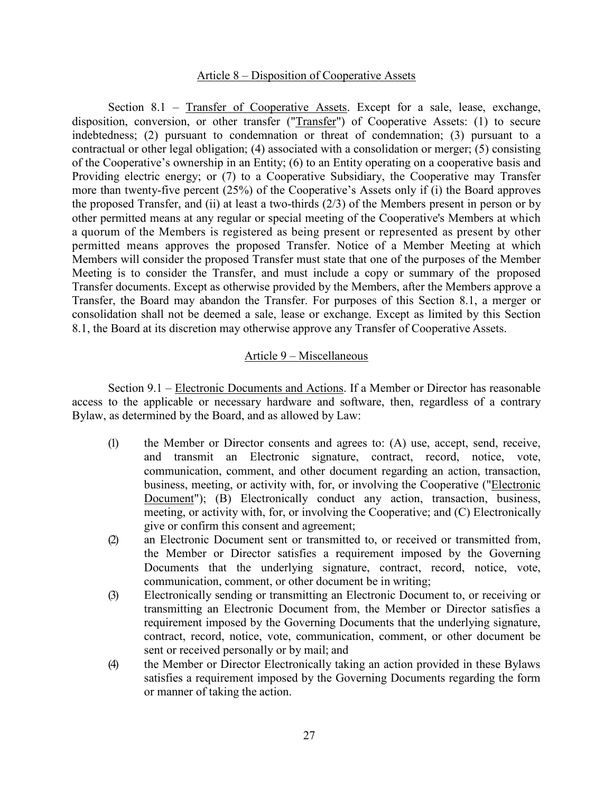### Article 8 – Disposition of Cooperative Assets

Section 8.1 – Transfer of Cooperative Assets. Except for a sale, lease, exchange, disposition, conversion, or other transfer ("Transfer") of Cooperative Assets: (1) to secure indebtedness; (2) pursuant to condemnation or threat of condemnation; (3) pursuant to a contractual or other legal obligation; (4) associated with a consolidation or merger; (5) consisting of the Cooperative's ownership in an Entity; (6) to an Entity operating on a cooperative basis and Providing electric energy; or (7) to a Cooperative Subsidiary, the Cooperative may Transfer more than twenty-five percent (25%) of the Cooperative's Assets only if (i) the Board approves the proposed Transfer, and (ii) at least a two-thirds (2/3) of the Members present in person or by other permitted means at any regular or special meeting of the Cooperative's Members at which a quorum of the Members is registered as being present or represented as present by other permitted means approves the proposed Transfer. Notice of a Member Meeting at which Members will consider the proposed Transfer must state that one of the purposes of the Member Meeting is to consider the Transfer, and must include a copy or summary of the proposed Transfer documents. Except as otherwise provided by the Members, after the Members approve a Transfer, the Board may abandon the Transfer. For purposes of this Section 8.1, a merger or consolidation shall not be deemed a sale, lease or exchange. Except as limited by this Section 8.1, the Board at its discretion may otherwise approve any Transfer of Cooperative Assets.

#### Article 9 – Miscellaneous

Section 9.1 – Electronic Documents and Actions. If a Member or Director has reasonable access to the applicable or necessary hardware and software, then, regardless of a contrary Bylaw, as determined by the Board, and as allowed by Law:

- (1) the Member or Director consents and agrees to: (A) use, accept, send, receive, and transmit an Electronic signature, contract, record, notice, vote, communication, comment, and other document regarding an action, transaction, business, meeting, or activity with, for, or involving the Cooperative ("Electronic Document"); (B) Electronically conduct any action, transaction, business, meeting, or activity with, for, or involving the Cooperative; and (C) Electronically give or confirm this consent and agreement;
- (2) an Electronic Document sent or transmitted to, or received or transmitted from, the Member or Director satisfies a requirement imposed by the Governing Documents that the underlying signature, contract, record, notice, vote, communication, comment, or other document be in writing;
- (3) Electronically sending or transmitting an Electronic Document to, or receiving or transmitting an Electronic Document from, the Member or Director satisfies a requirement imposed by the Governing Documents that the underlying signature, contract, record, notice, vote, communication, comment, or other document be sent or received personally or by mail; and
- (4) the Member or Director Electronically taking an action provided in these Bylaws satisfies a requirement imposed by the Governing Documents regarding the form or manner of taking the action.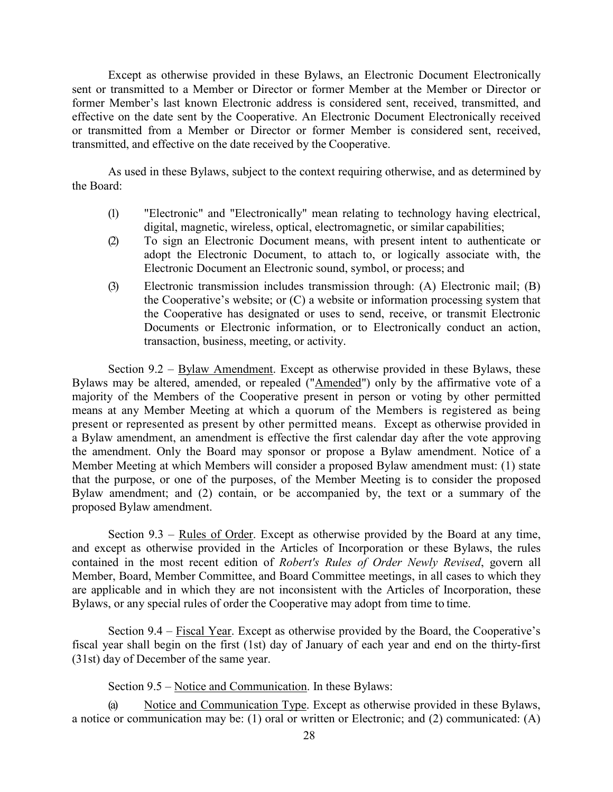Except as otherwise provided in these Bylaws, an Electronic Document Electronically sent or transmitted to a Member or Director or former Member at the Member or Director or former Member's last known Electronic address is considered sent, received, transmitted, and effective on the date sent by the Cooperative. An Electronic Document Electronically received or transmitted from a Member or Director or former Member is considered sent, received, transmitted, and effective on the date received by the Cooperative.

As used in these Bylaws, subject to the context requiring otherwise, and as determined by the Board:

- (1) "Electronic" and "Electronically" mean relating to technology having electrical, digital, magnetic, wireless, optical, electromagnetic, or similar capabilities;
- (2) To sign an Electronic Document means, with present intent to authenticate or adopt the Electronic Document, to attach to, or logically associate with, the Electronic Document an Electronic sound, symbol, or process; and
- (3) Electronic transmission includes transmission through: (A) Electronic mail; (B) the Cooperative's website; or (C) a website or information processing system that the Cooperative has designated or uses to send, receive, or transmit Electronic Documents or Electronic information, or to Electronically conduct an action, transaction, business, meeting, or activity.

Section 9.2 – Bylaw Amendment. Except as otherwise provided in these Bylaws, these Bylaws may be altered, amended, or repealed ("Amended") only by the affirmative vote of a majority of the Members of the Cooperative present in person or voting by other permitted means at any Member Meeting at which a quorum of the Members is registered as being present or represented as present by other permitted means. Except as otherwise provided in a Bylaw amendment, an amendment is effective the first calendar day after the vote approving the amendment. Only the Board may sponsor or propose a Bylaw amendment. Notice of a Member Meeting at which Members will consider a proposed Bylaw amendment must: (1) state that the purpose, or one of the purposes, of the Member Meeting is to consider the proposed Bylaw amendment; and (2) contain, or be accompanied by, the text or a summary of the proposed Bylaw amendment.

Section 9.3 – Rules of Order. Except as otherwise provided by the Board at any time, and except as otherwise provided in the Articles of Incorporation or these Bylaws, the rules contained in the most recent edition of *Robert's Rules of Order Newly Revised*, govern all Member, Board, Member Committee, and Board Committee meetings, in all cases to which they are applicable and in which they are not inconsistent with the Articles of Incorporation, these Bylaws, or any special rules of order the Cooperative may adopt from time to time.

Section  $9.4$  – Fiscal Year. Except as otherwise provided by the Board, the Cooperative's fiscal year shall begin on the first (1st) day of January of each year and end on the thirty-first (31st) day of December of the same year.

Section 9.5 – Notice and Communication. In these Bylaws:

(a) Notice and Communication Type. Except as otherwise provided in these Bylaws, a notice or communication may be: (1) oral or written or Electronic; and (2) communicated: (A)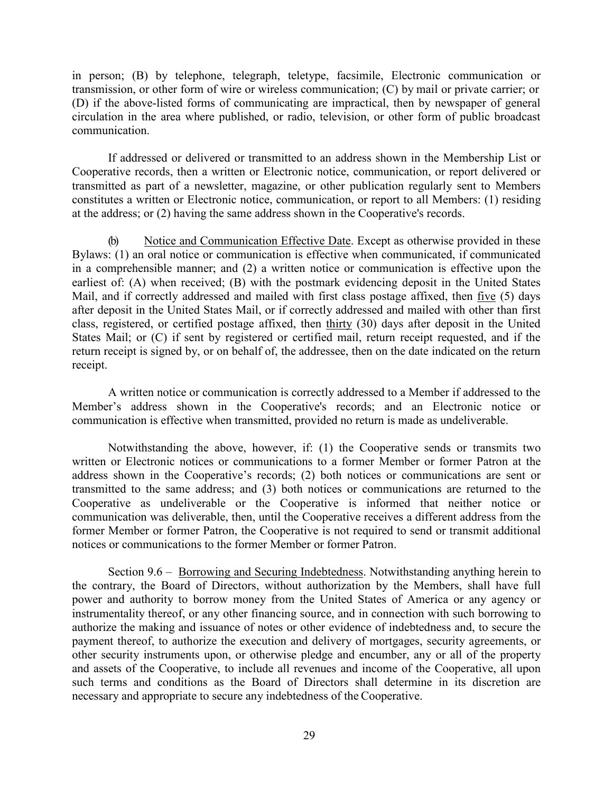in person; (B) by telephone, telegraph, teletype, facsimile, Electronic communication or transmission, or other form of wire or wireless communication; (C) by mail or private carrier; or (D) if the above-listed forms of communicating are impractical, then by newspaper of general circulation in the area where published, or radio, television, or other form of public broadcast communication.

If addressed or delivered or transmitted to an address shown in the Membership List or Cooperative records, then a written or Electronic notice, communication, or report delivered or transmitted as part of a newsletter, magazine, or other publication regularly sent to Members constitutes a written or Electronic notice, communication, or report to all Members: (1) residing at the address; or (2) having the same address shown in the Cooperative's records.

(b) Notice and Communication Effective Date. Except as otherwise provided in these Bylaws: (1) an oral notice or communication is effective when communicated, if communicated in a comprehensible manner; and (2) a written notice or communication is effective upon the earliest of: (A) when received; (B) with the postmark evidencing deposit in the United States Mail, and if correctly addressed and mailed with first class postage affixed, then five (5) days after deposit in the United States Mail, or if correctly addressed and mailed with other than first class, registered, or certified postage affixed, then thirty (30) days after deposit in the United States Mail; or (C) if sent by registered or certified mail, return receipt requested, and if the return receipt is signed by, or on behalf of, the addressee, then on the date indicated on the return receipt.

A written notice or communication is correctly addressed to a Member if addressed to the Member's address shown in the Cooperative's records; and an Electronic notice or communication is effective when transmitted, provided no return is made as undeliverable.

Notwithstanding the above, however, if: (1) the Cooperative sends or transmits two written or Electronic notices or communications to a former Member or former Patron at the address shown in the Cooperative's records; (2) both notices or communications are sent or transmitted to the same address; and (3) both notices or communications are returned to the Cooperative as undeliverable or the Cooperative is informed that neither notice or communication was deliverable, then, until the Cooperative receives a different address from the former Member or former Patron, the Cooperative is not required to send or transmit additional notices or communications to the former Member or former Patron.

Section 9.6 – Borrowing and Securing Indebtedness. Notwithstanding anything herein to the contrary, the Board of Directors, without authorization by the Members, shall have full power and authority to borrow money from the United States of America or any agency or instrumentality thereof, or any other financing source, and in connection with such borrowing to authorize the making and issuance of notes or other evidence of indebtedness and, to secure the payment thereof, to authorize the execution and delivery of mortgages, security agreements, or other security instruments upon, or otherwise pledge and encumber, any or all of the property and assets of the Cooperative, to include all revenues and income of the Cooperative, all upon such terms and conditions as the Board of Directors shall determine in its discretion are necessary and appropriate to secure any indebtedness of the Cooperative.